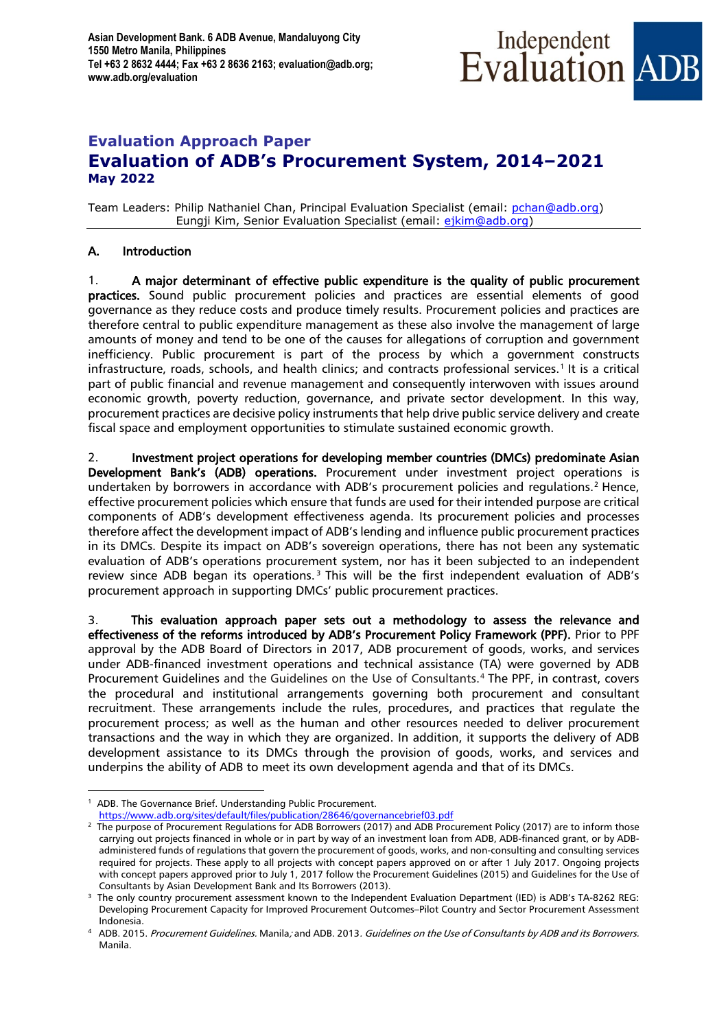

# **Evaluation Approach Paper Evaluation of ADB's Procurement System, 2014–2021 May 2022**

Team Leaders: Philip Nathaniel Chan, Principal Evaluation Specialist (email: [pchan@adb.org\)](mailto:pchan@adb.org) Eungji Kim, Senior Evaluation Specialist (email: [ejkim@adb.org\)](mailto:ejkim@adb.org)

## A. Introduction

1. A major determinant of effective public expenditure is the quality of public procurement practices. Sound public procurement policies and practices are essential elements of good governance as they reduce costs and produce timely results. Procurement policies and practices are therefore central to public expenditure management as these also involve the management of large amounts of money and tend to be one of the causes for allegations of corruption and government inefficiency. Public procurement is part of the process by which a government constructs infrastructure, roads, schools, and health clinics; and contracts professional services.<sup>[1](#page-0-0)</sup> It is a critical part of public financial and revenue management and consequently interwoven with issues around economic growth, poverty reduction, governance, and private sector development. In this way, procurement practices are decisive policy instruments that help drive public service delivery and create fiscal space and employment opportunities to stimulate sustained economic growth.

2. Investment project operations for developing member countries (DMCs) predominate Asian Development Bank's (ADB) operations. Procurement under investment project operations is undertaken by borrowers in accordance with ADB's procurement policies and regulations.<sup>[2](#page-0-1)</sup> Hence, effective procurement policies which ensure that funds are used for their intended purpose are critical components of ADB's development effectiveness agenda. Its procurement policies and processes therefore affect the development impact of ADB's lending and influence public procurement practices in its DMCs. Despite its impact on ADB's sovereign operations, there has not been any systematic evaluation of ADB's operations procurement system, nor has it been subjected to an independent review since ADB began its operations.<sup>[3](#page-0-2)</sup> This will be the first independent evaluation of ADB's procurement approach in supporting DMCs' public procurement practices.

3. This evaluation approach paper sets out a methodology to assess the relevance and effectiveness of the reforms introduced by ADB's Procurement Policy Framework (PPF). Prior to PPF approval by the ADB Board of Directors in 2017, ADB procurement of goods, works, and services under ADB-financed investment operations and technical assistance (TA) were governed by ADB Procurement Guidelines and the Guidelines on the Use of Consultants. [4](#page-0-3) The PPF, in contrast, covers the procedural and institutional arrangements governing both procurement and consultant recruitment. These arrangements include the rules, procedures, and practices that regulate the procurement process; as well as the human and other resources needed to deliver procurement transactions and the way in which they are organized. In addition, it supports the delivery of ADB development assistance to its DMCs through the provision of goods, works, and services and underpins the ability of ADB to meet its own development agenda and that of its DMCs.

<span id="page-0-0"></span><sup>&</sup>lt;sup>1</sup> ADB. The Governance Brief. Understanding Public Procurement.

<span id="page-0-1"></span>https://www.adb.org/sites/default/files/publication/28646/governancebrief03.pdf<br><sup>2</sup> The purpose of Procurement Regulations for ADB Borrowers (2017) and ADB Procurement Policy (2017) are to inform those carrying out projects financed in whole or in part by way of an investment loan from ADB, ADB-financed grant, or by ADBadministered funds of regulations that govern the procurement of goods, works, and non-consulting and consulting services required for projects. These apply to all projects with concept papers approved on or after 1 July 2017. Ongoing projects with concept papers approved prior to July 1, 2017 follow the Procurement Guidelines (2015) and Guidelines for the Use of Consultants by Asian Development Bank and Its Borrowers (2013).

<span id="page-0-2"></span><sup>3</sup> The only country procurement assessment known to the Independent Evaluation Department (IED) is ADB's TA-8262 REG: Developing Procurement Capacity for Improved Procurement Outcomes–Pilot Country and Sector Procurement Assessment

<span id="page-0-3"></span>Indonesia.<br>4 ADB. 2015. *Procurement Guidelines*. Manila, and ADB. 2013. *Guidelines on the Use of Consultants by ADB and its Borrowers.* Manila.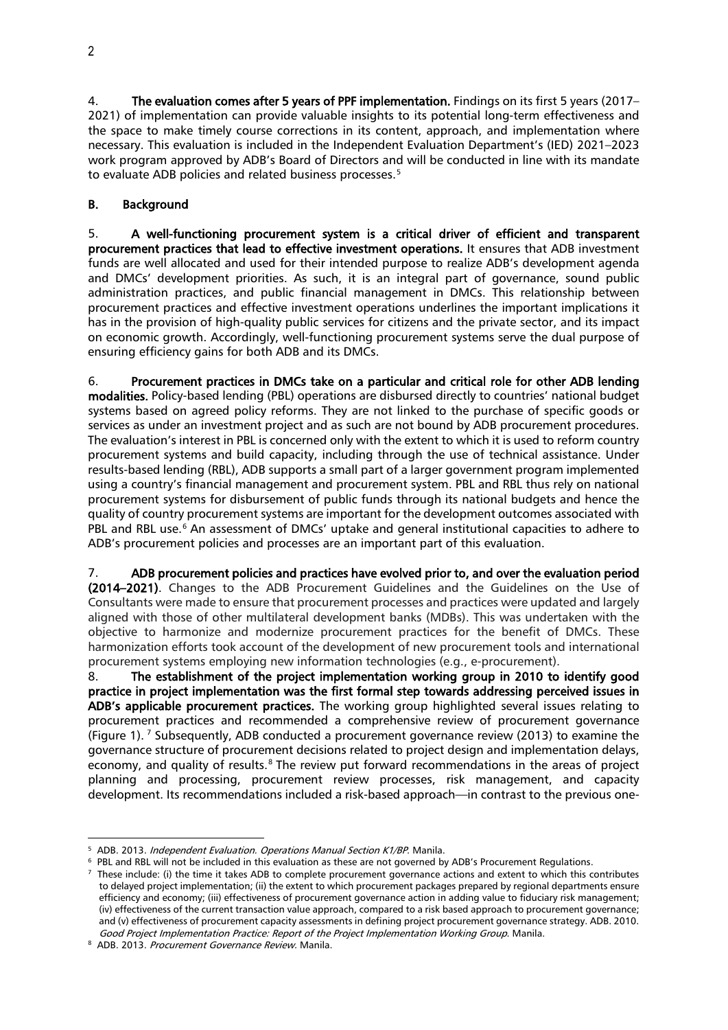4. The evaluation comes after 5 years of PPF implementation. Findings on its first 5 years (2017– 2021) of implementation can provide valuable insights to its potential long-term effectiveness and the space to make timely course corrections in its content, approach, and implementation where necessary. This evaluation is included in the Independent Evaluation Department's (IED) 2021–2023 work program approved by ADB's Board of Directors and will be conducted in line with its mandate to evaluate ADB policies and related business processes. [5](#page-1-0)

## B. Background

5. A well-functioning procurement system is a critical driver of efficient and transparent procurement practices that lead to effective investment operations. It ensures that ADB investment funds are well allocated and used for their intended purpose to realize ADB's development agenda and DMCs' development priorities. As such, it is an integral part of governance, sound public administration practices, and public financial management in DMCs. This relationship between procurement practices and effective investment operations underlines the important implications it has in the provision of high-quality public services for citizens and the private sector, and its impact on economic growth. Accordingly, well-functioning procurement systems serve the dual purpose of ensuring efficiency gains for both ADB and its DMCs.

6. Procurement practices in DMCs take on a particular and critical role for other ADB lending modalities. Policy-based lending (PBL) operations are disbursed directly to countries' national budget systems based on agreed policy reforms. They are not linked to the purchase of specific goods or services as under an investment project and as such are not bound by ADB procurement procedures. The evaluation's interest in PBL is concerned only with the extent to which it is used to reform country procurement systems and build capacity, including through the use of technical assistance. Under results-based lending (RBL), ADB supports a small part of a larger government program implemented using a country's financial management and procurement system. PBL and RBL thus rely on national procurement systems for disbursement of public funds through its national budgets and hence the quality of country procurement systems are important for the development outcomes associated with PBL and RBL use.<sup>[6](#page-1-1)</sup> An assessment of DMCs' uptake and general institutional capacities to adhere to ADB's procurement policies and processes are an important part of this evaluation.

7. ADB procurement policies and practices have evolved prior to, and over the evaluation period (2014–2021). Changes to the ADB Procurement Guidelines and the Guidelines on the Use of Consultants were made to ensure that procurement processes and practices were updated and largely aligned with those of other multilateral development banks (MDBs). This was undertaken with the objective to harmonize and modernize procurement practices for the benefit of DMCs. These harmonization efforts took account of the development of new procurement tools and international procurement systems employing new information technologies (e.g., e-procurement).

8. The establishment of the project implementation working group in 2010 to identify good practice in project implementation was the first formal step towards addressing perceived issues in ADB's applicable procurement practices. The working group highlighted several issues relating to procurement practices and recommended a comprehensive review of procurement governance (Figure 1).<sup>[7](#page-1-2)</sup> Subsequently, ADB conducted a procurement governance review (2013) to examine the governance structure of procurement decisions related to project design and implementation delays, economy, and quality of results.<sup>[8](#page-1-3)</sup> The review put forward recommendations in the areas of project planning and processing, procurement review processes, risk management, and capacity development. Its recommendations included a risk-based approach—in contrast to the previous one-

<span id="page-1-0"></span><sup>&</sup>lt;sup>5</sup> ADB. 2013. *[Independent Evaluation. Operations Manual Section K1/BP](https://www.adb.org/sites/default/files/institutional-document/31483/om-k1.pdf)*. Manila.

<span id="page-1-1"></span><sup>6</sup> PBL and RBL will not be included in this evaluation as these are not governed by ADB's Procurement Regulations.

<span id="page-1-2"></span> $7$  These include: (i) the time it takes ADB to complete procurement governance actions and extent to which this contributes to delayed project implementation; (ii) the extent to which procurement packages prepared by regional departments ensure efficiency and economy; (iii) effectiveness of procurement governance action in adding value to fiduciary risk management; (iv) effectiveness of the current transaction value approach, compared to a risk based approach to procurement governance; and (v) effectiveness of procurement capacity assessments in defining project procurement governance strategy. ADB. 2010. Good Project Implementation Practice: Report of the Project Implementation Working Group. Manila.

<span id="page-1-3"></span><sup>&</sup>lt;sup>8</sup> ADB. 2013. Procurement Governance Review. Manila.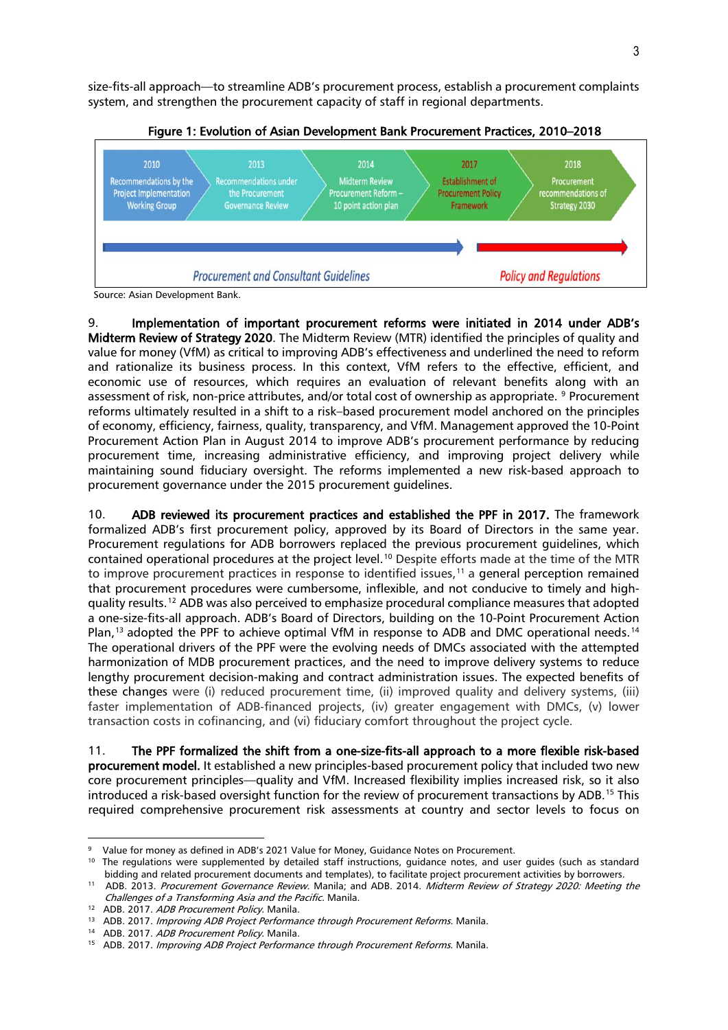size-fits-all approach—to streamline ADB's procurement process, establish a procurement complaints system, and strengthen the procurement capacity of staff in regional departments.





Source: Asian Development Bank.

9. Implementation of important procurement reforms were initiated in 2014 under ADB's Midterm Review of Strategy 2020. The Midterm Review (MTR) identified the principles of quality and value for money (VfM) as critical to improving ADB's effectiveness and underlined the need to reform and rationalize its business process. In this context, VfM refers to the effective, efficient, and economic use of resources, which requires an evaluation of relevant benefits along with an assessment of risk, non-price attributes, and/or total cost of ownership as appropriate. [9](#page-2-0) Procurement reforms ultimately resulted in a shift to a risk–based procurement model anchored on the principles of economy, efficiency, fairness, quality, transparency, and VfM. Management approved the 10-Point Procurement Action Plan in August 2014 to improve ADB's procurement performance by reducing procurement time, increasing administrative efficiency, and improving project delivery while maintaining sound fiduciary oversight. The reforms implemented a new risk-based approach to procurement governance under the 2015 procurement guidelines.

10. ADB reviewed its procurement practices and established the PPF in 2017. The framework formalized ADB's first procurement policy, approved by its Board of Directors in the same year. Procurement regulations for ADB borrowers replaced the previous procurement guidelines, which contained operational procedures at the project level.<sup>[10](#page-2-1)</sup> Despite efforts made at the time of the MTR to improve procurement practices in response to identified issues,<sup>[11](#page-2-2)</sup> a general perception remained that procurement procedures were cumbersome, inflexible, and not conducive to timely and high-quality results.<sup>[12](#page-2-3)</sup> ADB was also perceived to emphasize procedural compliance measures that adopted a one-size-fits-all approach. ADB's Board of Directors, building on the 10-Point Procurement Action Plan,<sup>[13](#page-2-4)</sup> adopted the PPF to achieve optimal VfM in response to ADB and DMC operational needs.<sup>[14](#page-2-5)</sup> The operational drivers of the PPF were the evolving needs of DMCs associated with the attempted harmonization of MDB procurement practices, and the need to improve delivery systems to reduce lengthy procurement decision-making and contract administration issues. The expected benefits of these changes were (i) reduced procurement time, (ii) improved quality and delivery systems, (iii) faster implementation of ADB‑financed projects, (iv) greater engagement with DMCs, (v) lower transaction costs in cofinancing, and (vi) fiduciary comfort throughout the project cycle.

11. The PPF formalized the shift from a one-size-fits-all approach to a more flexible risk-based procurement model. It established a new principles-based procurement policy that included two new core procurement principles—quality and VfM. Increased flexibility implies increased risk, so it also introduced a risk-based oversight function for the review of procurement transactions by ADB. [15](#page-2-6) This required comprehensive procurement risk assessments at country and sector levels to focus on

Value for money as defined in ADB's 2021 Value for Money, Guidance Notes on Procurement.

<span id="page-2-1"></span><span id="page-2-0"></span><sup>&</sup>lt;sup>10</sup> The regulations were supplemented by detailed staff instructions, guidance notes, and user guides (such as standard bidding and related procurement documents and templates), to facilitate project procurement activities by borrowers.

<span id="page-2-2"></span><sup>&</sup>lt;sup>11</sup> ADB. 2013. Procurement Governance Review. Manila; and ADB. 2014. Midterm Review of Strategy 2020: Meeting the Challenges of a Transforming Asia and the Pacific. Manila.

<span id="page-2-3"></span><sup>&</sup>lt;sup>12</sup> ADB. 2017. ADB Procurement Policy. Manila.

<span id="page-2-5"></span><span id="page-2-4"></span><sup>&</sup>lt;sup>13</sup> ADB. 2017. *Improving ADB Project Performance through Procurement Reforms.* Manila.<br><sup>14</sup> ADB. 2017. *ADB Procurement Policy*. Manila.

<span id="page-2-6"></span><sup>&</sup>lt;sup>15</sup> ADB. 2017. Improving ADB Project Performance through Procurement Reforms. Manila.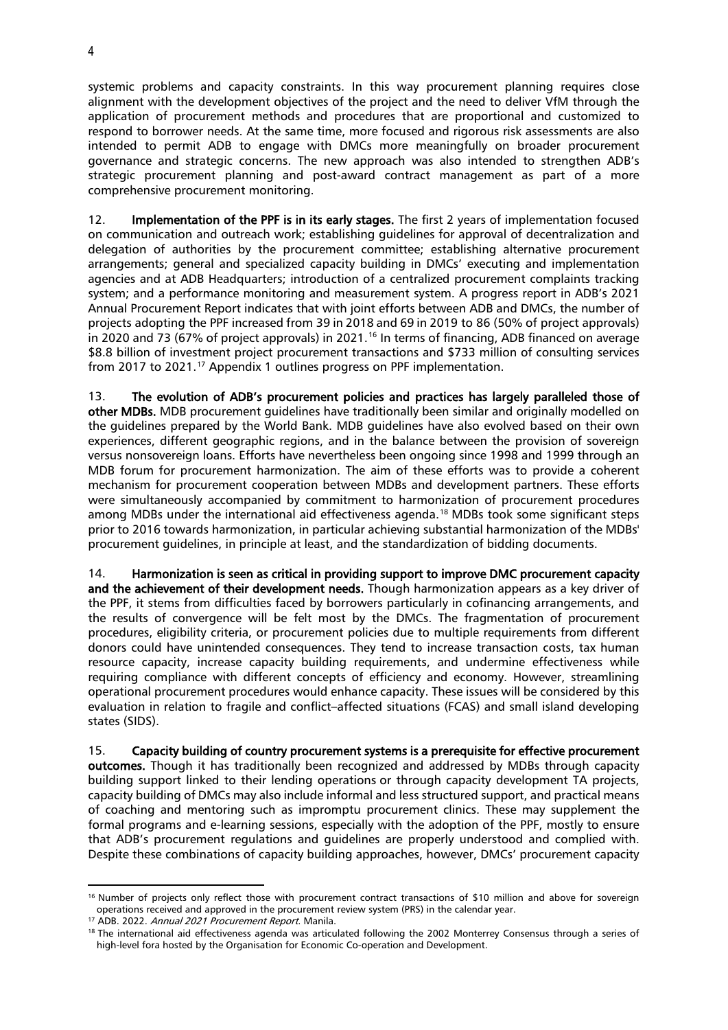systemic problems and capacity constraints. In this way procurement planning requires close alignment with the development objectives of the project and the need to deliver VfM through the application of procurement methods and procedures that are proportional and customized to respond to borrower needs. At the same time, more focused and rigorous risk assessments are also intended to permit ADB to engage with DMCs more meaningfully on broader procurement governance and strategic concerns. The new approach was also intended to strengthen ADB's strategic procurement planning and post-award contract management as part of a more comprehensive procurement monitoring.

12. Implementation of the PPF is in its early stages. The first 2 years of implementation focused on communication and outreach work; establishing guidelines for approval of decentralization and delegation of authorities by the procurement committee; establishing alternative procurement arrangements; general and specialized capacity building in DMCs' executing and implementation agencies and at ADB Headquarters; introduction of a centralized procurement complaints tracking system; and a performance monitoring and measurement system. A progress report in ADB's 2021 Annual Procurement Report indicates that with joint efforts between ADB and DMCs, the number of projects adopting the PPF increased from 39 in 2018 and 69 in 2019 to 86 (50% of project approvals) in 2020 and 73 (67% of project approvals) in 2021.<sup>[16](#page-3-0)</sup> In terms of financing, ADB financed on average \$8.8 billion of investment project procurement transactions and \$733 million of consulting services from 20[17](#page-3-1) to 2021.<sup>17</sup> Appendix 1 outlines progress on PPF implementation.

13. The evolution of ADB's procurement policies and practices has largely paralleled those of other MDBs. MDB procurement guidelines have traditionally been similar and originally modelled on the guidelines prepared by the World Bank. MDB guidelines have also evolved based on their own experiences, different geographic regions, and in the balance between the provision of sovereign versus nonsovereign loans. Efforts have nevertheless been ongoing since 1998 and 1999 through an MDB forum for procurement harmonization. The aim of these efforts was to provide a coherent mechanism for procurement cooperation between MDBs and development partners. These efforts were simultaneously accompanied by commitment to harmonization of procurement procedures among MDBs under the international aid effectiveness agenda. [18](#page-3-2) MDBs took some significant steps prior to 2016 towards harmonization, in particular achieving substantial harmonization of the MDBs' procurement guidelines, in principle at least, and the standardization of bidding documents.

14. Harmonization is seen as critical in providing support to improve DMC procurement capacity and the achievement of their development needs. Though harmonization appears as a key driver of the PPF, it stems from difficulties faced by borrowers particularly in cofinancing arrangements, and the results of convergence will be felt most by the DMCs. The fragmentation of procurement procedures, eligibility criteria, or procurement policies due to multiple requirements from different donors could have unintended consequences. They tend to increase transaction costs, tax human resource capacity, increase capacity building requirements, and undermine effectiveness while requiring compliance with different concepts of efficiency and economy. However, streamlining operational procurement procedures would enhance capacity. These issues will be considered by this evaluation in relation to fragile and conflict–affected situations (FCAS) and small island developing states (SIDS).

15. Capacity building of country procurement systems is a prerequisite for effective procurement outcomes. Though it has traditionally been recognized and addressed by MDBs through capacity building support linked to their lending operations or through capacity development TA projects, capacity building of DMCs may also include informal and less structured support, and practical means of coaching and mentoring such as impromptu procurement clinics. These may supplement the formal programs and e-learning sessions, especially with the adoption of the PPF, mostly to ensure that ADB's procurement regulations and guidelines are properly understood and complied with. Despite these combinations of capacity building approaches, however, DMCs' procurement capacity

<span id="page-3-0"></span><sup>&</sup>lt;sup>16</sup> Number of projects only reflect those with procurement contract transactions of \$10 million and above for sovereign operations received and approved in the procurement review system (PRS) in the calendar year.

<span id="page-3-1"></span><sup>17</sup> ADB. 2022. Annual 2021 Procurement Report. Manila.

<span id="page-3-2"></span><sup>&</sup>lt;sup>18</sup> The international aid effectiveness agenda was articulated following the 2002 Monterrey Consensus through a series of high-level fora hosted by the Organisation for Economic Co-operation and Development.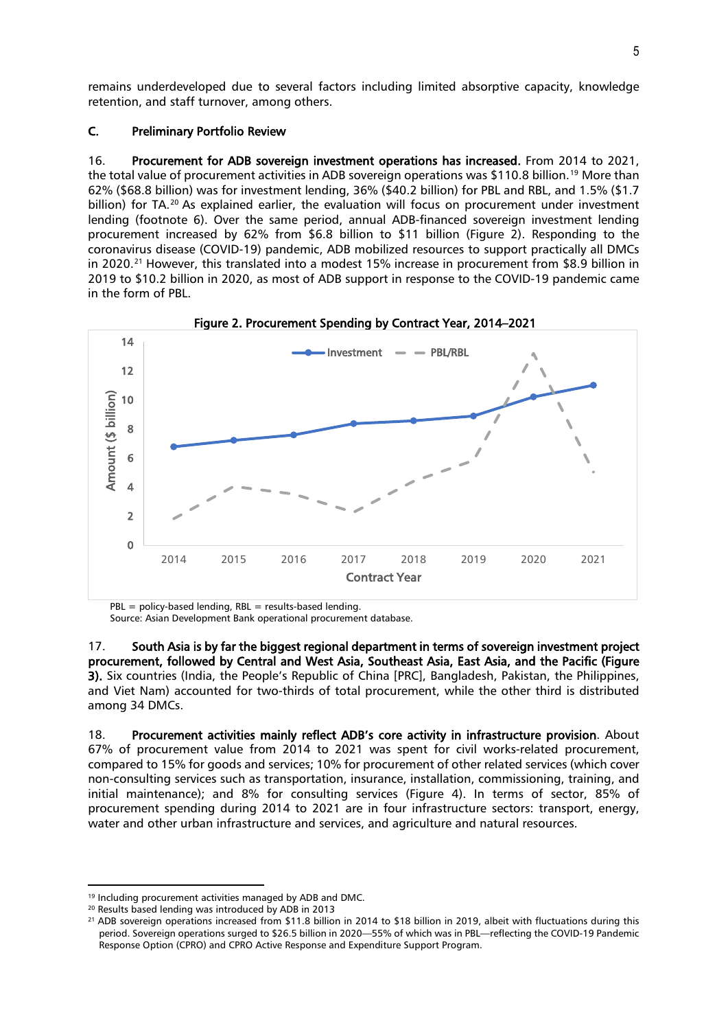remains underdeveloped due to several factors including limited absorptive capacity, knowledge retention, and staff turnover, among others.

#### C. Preliminary Portfolio Review

16. Procurement for ADB sovereign investment operations has increased. From 2014 to 2021, the total value of procurement activities in ADB sovereign operations was \$110.8 billion.<sup>[19](#page-4-0)</sup> More than 62% (\$68.8 billion) was for investment lending, 36% (\$40.2 billion) for PBL and RBL, and 1.5% (\$1.7 billion) for TA.<sup>[20](#page-4-1)</sup> As explained earlier, the evaluation will focus on procurement under investment lending (footnote 6). Over the same period, annual ADB-financed sovereign investment lending procurement increased by 62% from \$6.8 billion to \$11 billion (Figure 2). Responding to the coronavirus disease (COVID-19) pandemic, ADB mobilized resources to support practically all DMCs in 2020.<sup>[21](#page-4-2)</sup> However, this translated into a modest 15% increase in procurement from \$8.9 billion in 2019 to \$10.2 billion in 2020, as most of ADB support in response to the COVID-19 pandemic came in the form of PBL.





 $PBL = policy-based lending, RBL = results-based lending.$ 

Source: Asian Development Bank operational procurement database.

17. South Asia is by far the biggest regional department in terms of sovereign investment project procurement, followed by Central and West Asia, Southeast Asia, East Asia, and the Pacific (Figure 3). Six countries (India, the People's Republic of China [PRC], Bangladesh, Pakistan, the Philippines, and Viet Nam) accounted for two-thirds of total procurement, while the other third is distributed among 34 DMCs.

18. Procurement activities mainly reflect ADB's core activity in infrastructure provision. About 67% of procurement value from 2014 to 2021 was spent for civil works-related procurement, compared to 15% for goods and services; 10% for procurement of other related services (which cover non-consulting services such as transportation, insurance, installation, commissioning, training, and initial maintenance); and 8% for consulting services (Figure 4). In terms of sector, 85% of procurement spending during 2014 to 2021 are in four infrastructure sectors: transport, energy, water and other urban infrastructure and services, and agriculture and natural resources.

<span id="page-4-0"></span><sup>19</sup> Including procurement activities managed by ADB and DMC.

<span id="page-4-1"></span><sup>20</sup> Results based lending was introduced by ADB in 2013

<span id="page-4-2"></span><sup>21</sup> ADB sovereign operations increased from \$11.8 billion in 2014 to \$18 billion in 2019, albeit with fluctuations during this period. Sovereign operations surged to \$26.5 billion in 2020—55% of which was in PBL—reflecting the COVID-19 Pandemic Response Option (CPRO) and CPRO Active Response and Expenditure Support Program.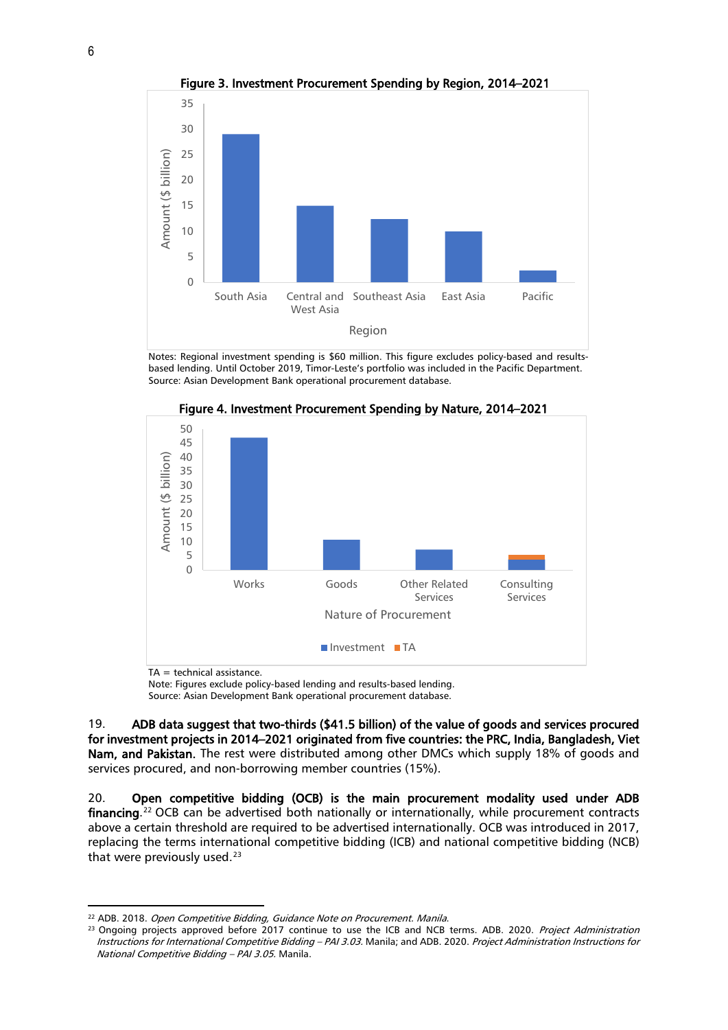

Figure 3. Investment Procurement Spending by Region, 2014–2021

Notes: Regional investment spending is \$60 million. This figure excludes policy-based and resultsbased lending. Until October 2019, Timor-Leste's portfolio was included in the Pacific Department. Source: Asian Development Bank operational procurement database.



Figure 4. Investment Procurement Spending by Nature, 2014–2021

TA = technical assistance.

Note: Figures exclude policy-based lending and results-based lending. Source: Asian Development Bank operational procurement database.

19. ADB data suggest that two-thirds (\$41.5 billion) of the value of goods and services procured for investment projects in 2014–2021 originated from five countries: the PRC, India, Bangladesh, Viet Nam, and Pakistan. The rest were distributed among other DMCs which supply 18% of goods and services procured, and non-borrowing member countries (15%).

20. Open competitive bidding (OCB) is the main procurement modality used under ADB financing.<sup>[22](#page-5-0)</sup> OCB can be advertised both nationally or internationally, while procurement contracts above a certain threshold are required to be advertised internationally. OCB was introduced in 2017, replacing the terms international competitive bidding (ICB) and national competitive bidding (NCB) that were previously used.<sup>[23](#page-5-1)</sup>

<span id="page-5-0"></span><sup>&</sup>lt;sup>22</sup> ADB. 2018. Open Competitive Bidding, Guidance Note on Procurement. Manila.

<span id="page-5-1"></span><sup>&</sup>lt;sup>23</sup> Ongoing projects approved before 2017 continue to use the ICB and NCB terms. ADB. 2020. Project Administration Instructions for International Competitive Bidding – PAI 3.03. Manila; and ADB. 2020. Project Administration Instructions for National Competitive Bidding – PAI 3.05. Manila.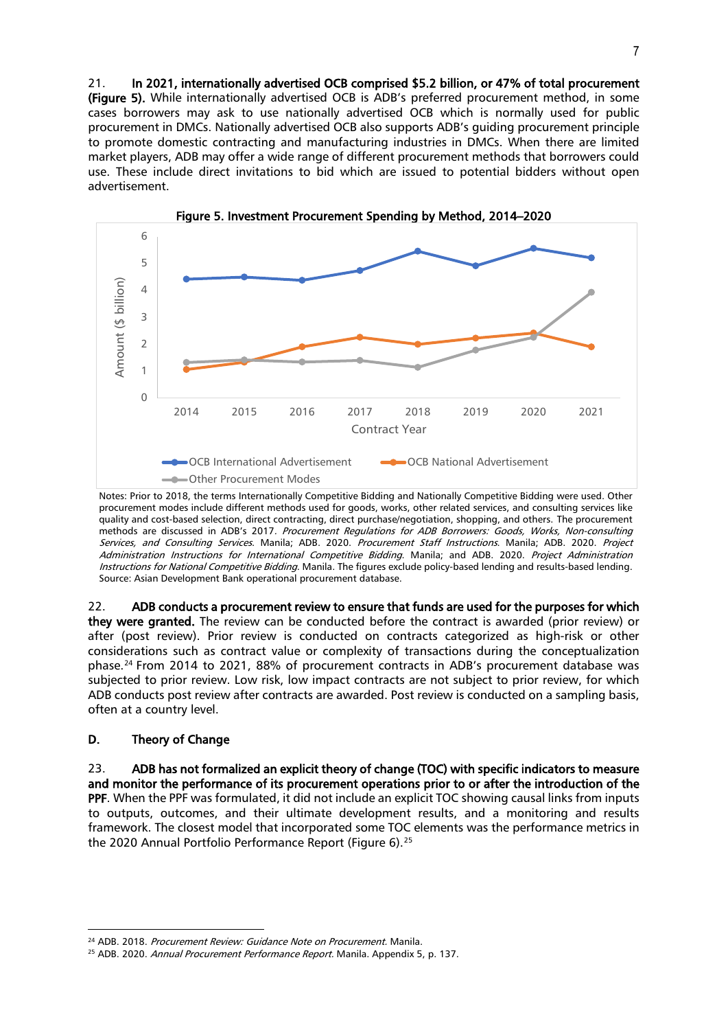21. In 2021, internationally advertised OCB comprised \$5.2 billion, or 47% of total procurement (Figure 5). While internationally advertised OCB is ADB's preferred procurement method, in some cases borrowers may ask to use nationally advertised OCB which is normally used for public procurement in DMCs. Nationally advertised OCB also supports ADB's guiding procurement principle to promote domestic contracting and manufacturing industries in DMCs. When there are limited market players, ADB may offer a wide range of different procurement methods that borrowers could use. These include direct invitations to bid which are issued to potential bidders without open advertisement.



Notes: Prior to 2018, the terms Internationally Competitive Bidding and Nationally Competitive Bidding were used. Other procurement modes include different methods used for goods, works, other related services, and consulting services like quality and cost-based selection, direct contracting, direct purchase/negotiation, shopping, and others. The procurement methods are discussed in ADB's 2017. Procurement Regulations for ADB Borrowers: Goods, Works, Non-consulting Services, and Consulting Services. Manila; ADB. 2020. Procurement Staff Instructions. Manila; ADB. 2020. Project Administration Instructions for International Competitive Bidding. Manila; and ADB. 2020. Project Administration Instructions for National Competitive Bidding. Manila. The figures exclude policy-based lending and results-based lending. Source: Asian Development Bank operational procurement database.

22. ADB conducts a procurement review to ensure that funds are used for the purposes for which they were granted. The review can be conducted before the contract is awarded (prior review) or after (post review). Prior review is conducted on contracts categorized as high-risk or other considerations such as contract value or complexity of transactions during the conceptualization phase.[24](#page-6-0) From 2014 to 2021, 88% of procurement contracts in ADB's procurement database was subjected to prior review. Low risk, low impact contracts are not subject to prior review, for which ADB conducts post review after contracts are awarded. Post review is conducted on a sampling basis, often at a country level.

#### D. Theory of Change

23. ADB has not formalized an explicit theory of change (TOC) with specific indicators to measure and monitor the performance of its procurement operations prior to or after the introduction of the PPF. When the PPF was formulated, it did not include an explicit TOC showing causal links from inputs to outputs, outcomes, and their ultimate development results, and a monitoring and results framework. The closest model that incorporated some TOC elements was the performance metrics in the 2020 Annual Portfolio Performance Report (Figure 6).<sup>[25](#page-6-1)</sup>

<span id="page-6-0"></span><sup>&</sup>lt;sup>24</sup> ADB. 2018. Procurement Review: Guidance Note on Procurement. Manila.

<span id="page-6-1"></span><sup>&</sup>lt;sup>25</sup> ADB. 2020. Annual Procurement Performance Report. Manila. Appendix 5, p. 137.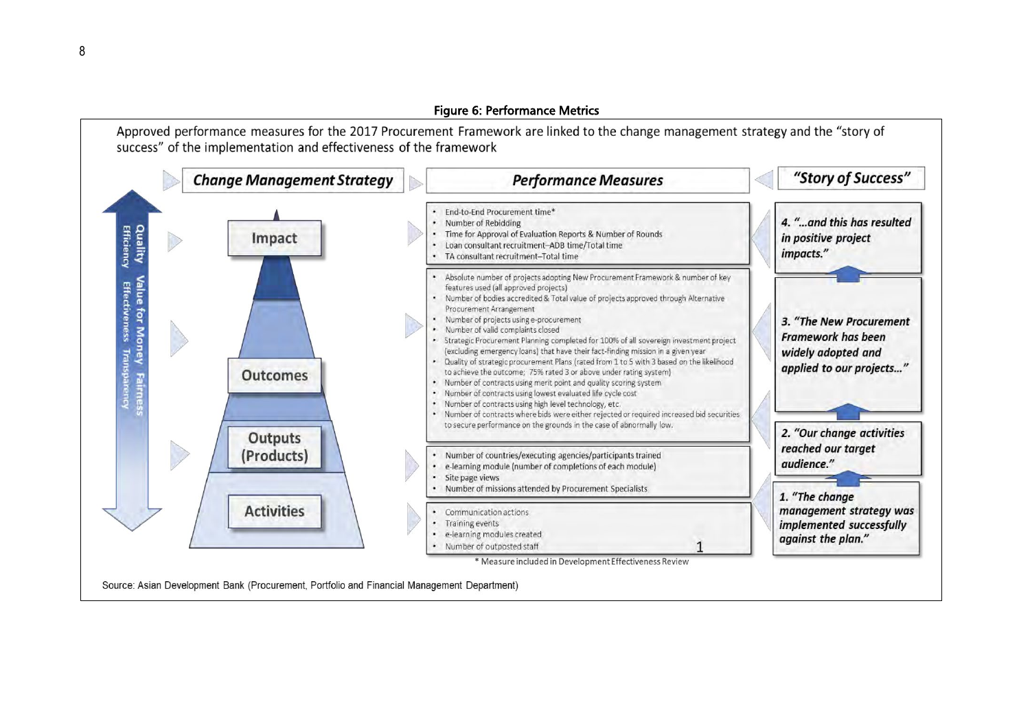

#### Figure 6: Performance Metrics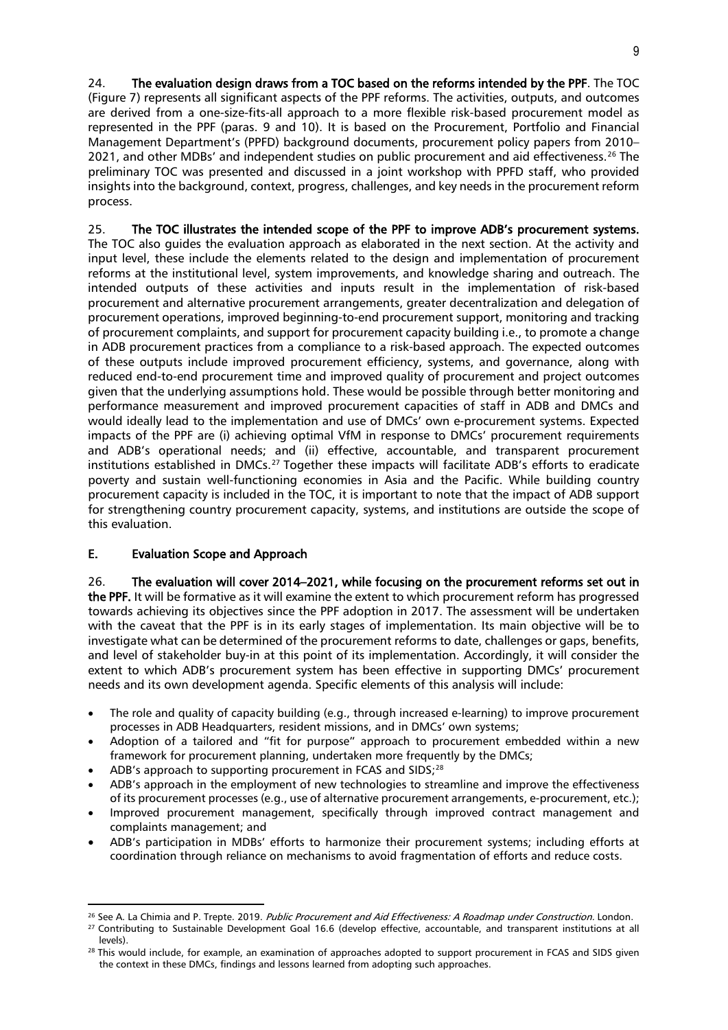24. The evaluation design draws from a TOC based on the reforms intended by the PPF. The TOC (Figure 7) represents all significant aspects of the PPF reforms. The activities, outputs, and outcomes are derived from a one-size-fits-all approach to a more flexible risk-based procurement model as represented in the PPF (paras. 9 and 10). It is based on the Procurement, Portfolio and Financial Management Department's (PPFD) background documents, procurement policy papers from 2010– 2021, and other MDBs' and independent studies on public procurement and aid effectiveness.<sup>[26](#page-8-0)</sup> The preliminary TOC was presented and discussed in a joint workshop with PPFD staff, who provided insights into the background, context, progress, challenges, and key needs in the procurement reform process.

25. The TOC illustrates the intended scope of the PPF to improve ADB's procurement systems. The TOC also guides the evaluation approach as elaborated in the next section. At the activity and input level, these include the elements related to the design and implementation of procurement reforms at the institutional level, system improvements, and knowledge sharing and outreach. The intended outputs of these activities and inputs result in the implementation of risk-based procurement and alternative procurement arrangements, greater decentralization and delegation of procurement operations, improved beginning-to-end procurement support, monitoring and tracking of procurement complaints, and support for procurement capacity building i.e., to promote a change in ADB procurement practices from a compliance to a risk-based approach. The expected outcomes of these outputs include improved procurement efficiency, systems, and governance, along with reduced end-to-end procurement time and improved quality of procurement and project outcomes given that the underlying assumptions hold. These would be possible through better monitoring and performance measurement and improved procurement capacities of staff in ADB and DMCs and would ideally lead to the implementation and use of DMCs' own e-procurement systems. Expected impacts of the PPF are (i) achieving optimal VfM in response to DMCs' procurement requirements and ADB's operational needs; and (ii) effective, accountable, and transparent procurement institutions established in DMCs.<sup>[27](#page-8-1)</sup> Together these impacts will facilitate ADB's efforts to eradicate poverty and sustain well-functioning economies in Asia and the Pacific. While building country procurement capacity is included in the TOC, it is important to note that the impact of ADB support for strengthening country procurement capacity, systems, and institutions are outside the scope of this evaluation.

## E. Evaluation Scope and Approach

26. The evaluation will cover 2014–2021, while focusing on the procurement reforms set out in the PPF. It will be formative as it will examine the extent to which procurement reform has progressed towards achieving its objectives since the PPF adoption in 2017. The assessment will be undertaken with the caveat that the PPF is in its early stages of implementation. Its main objective will be to investigate what can be determined of the procurement reforms to date, challenges or gaps, benefits, and level of stakeholder buy-in at this point of its implementation. Accordingly, it will consider the extent to which ADB's procurement system has been effective in supporting DMCs' procurement needs and its own development agenda. Specific elements of this analysis will include:

- The role and quality of capacity building (e.g., through increased e-learning) to improve procurement processes in ADB Headquarters, resident missions, and in DMCs' own systems;
- Adoption of a tailored and "fit for purpose" approach to procurement embedded within a new framework for procurement planning, undertaken more frequently by the DMCs;
- ADB's approach to supporting procurement in FCAS and SIDS;<sup>[28](#page-8-2)</sup>
- ADB's approach in the employment of new technologies to streamline and improve the effectiveness of its procurement processes (e.g., use of alternative procurement arrangements, e-procurement, etc.);
- Improved procurement management, specifically through improved contract management and complaints management; and
- ADB's participation in MDBs' efforts to harmonize their procurement systems; including efforts at coordination through reliance on mechanisms to avoid fragmentation of efforts and reduce costs.

<span id="page-8-0"></span><sup>&</sup>lt;sup>26</sup> See A. La Chimia and P. Trepte. 2019. Public Procurement and Aid Effectiveness: A Roadmap under Construction. London.

<span id="page-8-1"></span><sup>&</sup>lt;sup>27</sup> Contributing to Sustainable Development Goal 16.6 (develop effective, accountable, and transparent institutions at all levels).

<span id="page-8-2"></span><sup>&</sup>lt;sup>28</sup> This would include, for example, an examination of approaches adopted to support procurement in FCAS and SIDS given the context in these DMCs, findings and lessons learned from adopting such approaches.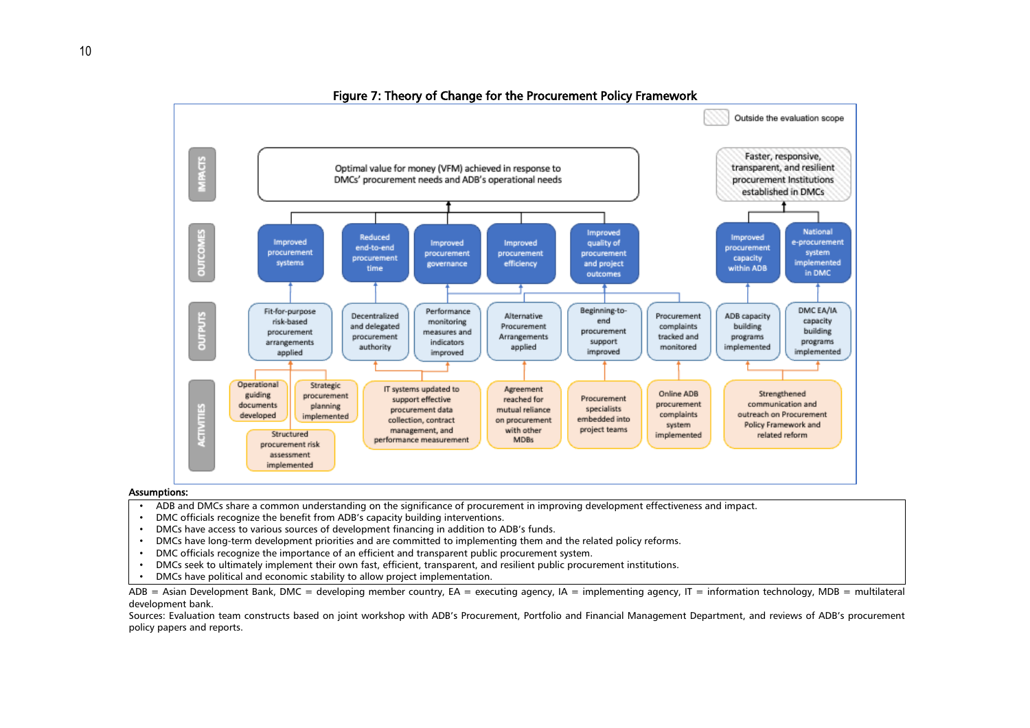

- ADB and DMCs share a common understanding on the significance of procurement in improving development effectiveness and impact.
- DMC officials recognize the benefit from ADB's capacity building interventions.
- DMCs have access to various sources of development financing in addition to ADB's funds.
- DMCs have long-term development priorities and are committed to implementing them and the related policy reforms.
- DMC officials recognize the importance of an efficient and transparent public procurement system.<br>• DMCs seek to ultimately implement their own fast, efficient, transparent, and resilient public procur
- DMCs seek to ultimately implement their own fast, efficient, transparent, and resilient public procurement institutions.
- DMCs have political and economic stability to allow project implementation.

 $ADB = Asian Development Bank, DMC = developing member country, EA = executing agency, IA = implementing agency, IT = information technology, MDB = multilateral$ development bank.

Sources: Evaluation team constructs based on joint workshop with ADB's Procurement, Portfolio and Financial Management Department, and reviews of ADB's procurement policy papers and reports.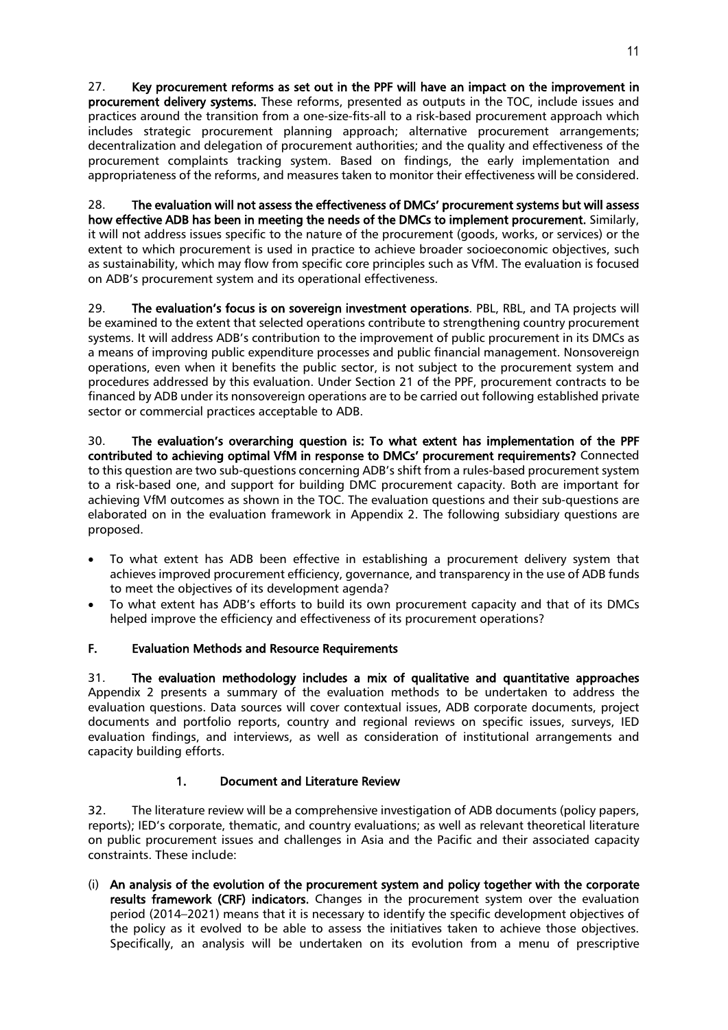27. Key procurement reforms as set out in the PPF will have an impact on the improvement in procurement delivery systems. These reforms, presented as outputs in the TOC, include issues and practices around the transition from a one-size-fits-all to a risk-based procurement approach which includes strategic procurement planning approach; alternative procurement arrangements; decentralization and delegation of procurement authorities; and the quality and effectiveness of the procurement complaints tracking system. Based on findings, the early implementation and appropriateness of the reforms, and measures taken to monitor their effectiveness will be considered.

28. The evaluation will not assess the effectiveness of DMCs' procurement systems but will assess how effective ADB has been in meeting the needs of the DMCs to implement procurement. Similarly, it will not address issues specific to the nature of the procurement (goods, works, or services) or the extent to which procurement is used in practice to achieve broader socioeconomic objectives, such as sustainability, which may flow from specific core principles such as VfM. The evaluation is focused on ADB's procurement system and its operational effectiveness.

29. The evaluation's focus is on sovereign investment operations. PBL, RBL, and TA projects will be examined to the extent that selected operations contribute to strengthening country procurement systems. It will address ADB's contribution to the improvement of public procurement in its DMCs as a means of improving public expenditure processes and public financial management. Nonsovereign operations, even when it benefits the public sector, is not subject to the procurement system and procedures addressed by this evaluation. Under Section 21 of the PPF, procurement contracts to be financed by ADB under its nonsovereign operations are to be carried out following established private sector or commercial practices acceptable to ADB.

30. The evaluation's overarching question is: To what extent has implementation of the PPF contributed to achieving optimal VfM in response to DMCs' procurement requirements? Connected to this question are two sub-questions concerning ADB's shift from a rules-based procurement system to a risk-based one, and support for building DMC procurement capacity. Both are important for achieving VfM outcomes as shown in the TOC. The evaluation questions and their sub-questions are elaborated on in the evaluation framework in Appendix 2. The following subsidiary questions are proposed.

- To what extent has ADB been effective in establishing a procurement delivery system that achieves improved procurement efficiency, governance, and transparency in the use of ADB funds to meet the objectives of its development agenda?
- To what extent has ADB's efforts to build its own procurement capacity and that of its DMCs helped improve the efficiency and effectiveness of its procurement operations?

## F. Evaluation Methods and Resource Requirements

31. The evaluation methodology includes a mix of qualitative and quantitative approaches Appendix 2 presents a summary of the evaluation methods to be undertaken to address the evaluation questions. Data sources will cover contextual issues, ADB corporate documents, project documents and portfolio reports, country and regional reviews on specific issues, surveys, IED evaluation findings, and interviews, as well as consideration of institutional arrangements and capacity building efforts.

#### 1. Document and Literature Review

32. The literature review will be a comprehensive investigation of ADB documents (policy papers, reports); IED's corporate, thematic, and country evaluations; as well as relevant theoretical literature on public procurement issues and challenges in Asia and the Pacific and their associated capacity constraints. These include:

(i) An analysis of the evolution of the procurement system and policy together with the corporate results framework (CRF) indicators. Changes in the procurement system over the evaluation period (2014–2021) means that it is necessary to identify the specific development objectives of the policy as it evolved to be able to assess the initiatives taken to achieve those objectives. Specifically, an analysis will be undertaken on its evolution from a menu of prescriptive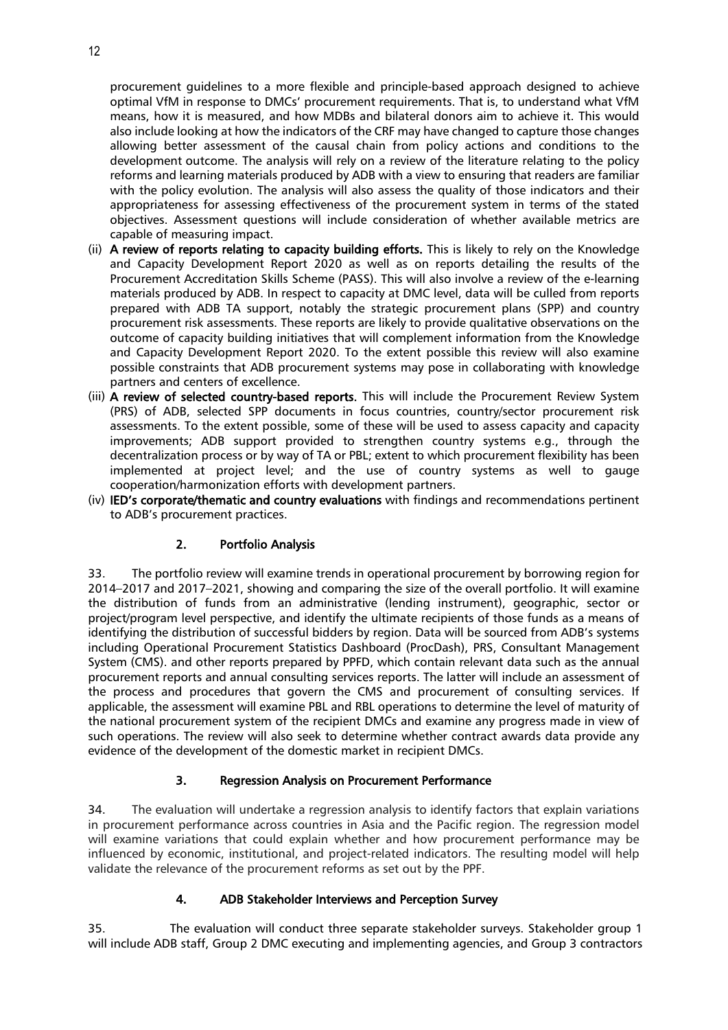procurement guidelines to a more flexible and principle-based approach designed to achieve optimal VfM in response to DMCs' procurement requirements. That is, to understand what VfM means, how it is measured, and how MDBs and bilateral donors aim to achieve it. This would also include looking at how the indicators of the CRF may have changed to capture those changes allowing better assessment of the causal chain from policy actions and conditions to the development outcome. The analysis will rely on a review of the literature relating to the policy reforms and learning materials produced by ADB with a view to ensuring that readers are familiar with the policy evolution. The analysis will also assess the quality of those indicators and their appropriateness for assessing effectiveness of the procurement system in terms of the stated objectives. Assessment questions will include consideration of whether available metrics are capable of measuring impact.

- (ii) A review of reports relating to capacity building efforts. This is likely to rely on the Knowledge and Capacity Development Report 2020 as well as on reports detailing the results of the Procurement Accreditation Skills Scheme (PASS). This will also involve a review of the e-learning materials produced by ADB. In respect to capacity at DMC level, data will be culled from reports prepared with ADB TA support, notably the strategic procurement plans (SPP) and country procurement risk assessments. These reports are likely to provide qualitative observations on the outcome of capacity building initiatives that will complement information from the Knowledge and Capacity Development Report 2020. To the extent possible this review will also examine possible constraints that ADB procurement systems may pose in collaborating with knowledge partners and centers of excellence.
- (iii) A review of selected country-based reports. This will include the Procurement Review System (PRS) of ADB, selected SPP documents in focus countries, country/sector procurement risk assessments. To the extent possible, some of these will be used to assess capacity and capacity improvements; ADB support provided to strengthen country systems e.g., through the decentralization process or by way of TA or PBL; extent to which procurement flexibility has been implemented at project level; and the use of country systems as well to gauge cooperation/harmonization efforts with development partners.
- (iv) IED's corporate/thematic and country evaluations with findings and recommendations pertinent to ADB's procurement practices.

#### 2. Portfolio Analysis

33. The portfolio review will examine trends in operational procurement by borrowing region for 2014–2017 and 2017–2021, showing and comparing the size of the overall portfolio. It will examine the distribution of funds from an administrative (lending instrument), geographic, sector or project/program level perspective, and identify the ultimate recipients of those funds as a means of identifying the distribution of successful bidders by region. Data will be sourced from ADB's systems including Operational Procurement Statistics Dashboard (ProcDash), PRS, Consultant Management System (CMS). and other reports prepared by PPFD, which contain relevant data such as the annual procurement reports and annual consulting services reports. The latter will include an assessment of the process and procedures that govern the CMS and procurement of consulting services. If applicable, the assessment will examine PBL and RBL operations to determine the level of maturity of the national procurement system of the recipient DMCs and examine any progress made in view of such operations. The review will also seek to determine whether contract awards data provide any evidence of the development of the domestic market in recipient DMCs.

#### 3. Regression Analysis on Procurement Performance

34. The evaluation will undertake a regression analysis to identify factors that explain variations in procurement performance across countries in Asia and the Pacific region. The regression model will examine variations that could explain whether and how procurement performance may be influenced by economic, institutional, and project-related indicators. The resulting model will help validate the relevance of the procurement reforms as set out by the PPF.

## 4. ADB Stakeholder Interviews and Perception Survey

35. The evaluation will conduct three separate stakeholder surveys. Stakeholder group 1 will include ADB staff, Group 2 DMC executing and implementing agencies, and Group 3 contractors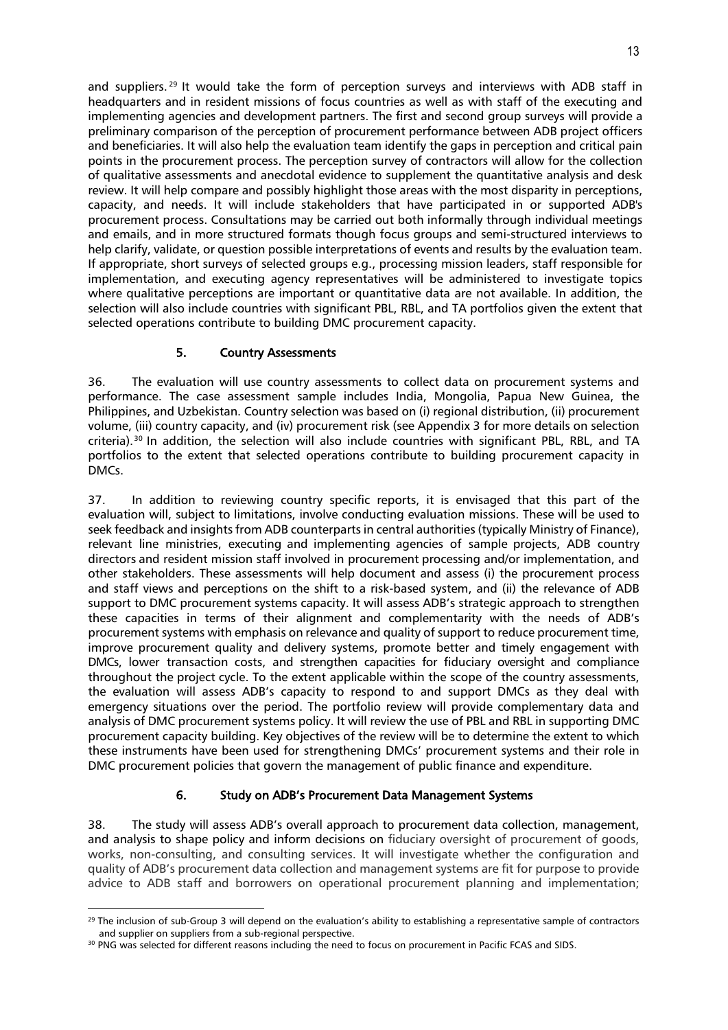and suppliers.<sup>[29](#page-12-0)</sup> It would take the form of perception surveys and interviews with ADB staff in headquarters and in resident missions of focus countries as well as with staff of the executing and implementing agencies and development partners. The first and second group surveys will provide a preliminary comparison of the perception of procurement performance between ADB project officers and beneficiaries. It will also help the evaluation team identify the gaps in perception and critical pain points in the procurement process. The perception survey of contractors will allow for the collection of qualitative assessments and anecdotal evidence to supplement the quantitative analysis and desk review. It will help compare and possibly highlight those areas with the most disparity in perceptions, capacity, and needs. It will include stakeholders that have participated in or supported ADB's procurement process. Consultations may be carried out both informally through individual meetings and emails, and in more structured formats though focus groups and semi-structured interviews to help clarify, validate, or question possible interpretations of events and results by the evaluation team. If appropriate, short surveys of selected groups e.g., processing mission leaders, staff responsible for implementation, and executing agency representatives will be administered to investigate topics where qualitative perceptions are important or quantitative data are not available. In addition, the selection will also include countries with significant PBL, RBL, and TA portfolios given the extent that selected operations contribute to building DMC procurement capacity.

## 5. Country Assessments

36. The evaluation will use country assessments to collect data on procurement systems and performance. The case assessment sample includes India, Mongolia, Papua New Guinea, the Philippines, and Uzbekistan. Country selection was based on (i) regional distribution, (ii) procurement volume, (iii) country capacity, and (iv) procurement risk (see Appendix 3 for more details on selection criteria).[30](#page-12-1) In addition, the selection will also include countries with significant PBL, RBL, and TA portfolios to the extent that selected operations contribute to building procurement capacity in DMCs.

37. In addition to reviewing country specific reports, it is envisaged that this part of the evaluation will, subject to limitations, involve conducting evaluation missions. These will be used to seek feedback and insights from ADB counterparts in central authorities (typically Ministry of Finance), relevant line ministries, executing and implementing agencies of sample projects, ADB country directors and resident mission staff involved in procurement processing and/or implementation, and other stakeholders. These assessments will help document and assess (i) the procurement process and staff views and perceptions on the shift to a risk-based system, and (ii) the relevance of ADB support to DMC procurement systems capacity. It will assess ADB's strategic approach to strengthen these capacities in terms of their alignment and complementarity with the needs of ADB's procurement systems with emphasis on relevance and quality of support to reduce procurement time, improve procurement quality and delivery systems, promote better and timely engagement with DMCs, lower transaction costs, and strengthen capacities for fiduciary oversight and compliance throughout the project cycle. To the extent applicable within the scope of the country assessments, the evaluation will assess ADB's capacity to respond to and support DMCs as they deal with emergency situations over the period. The portfolio review will provide complementary data and analysis of DMC procurement systems policy. It will review the use of PBL and RBL in supporting DMC procurement capacity building. Key objectives of the review will be to determine the extent to which these instruments have been used for strengthening DMCs' procurement systems and their role in DMC procurement policies that govern the management of public finance and expenditure.

#### 6. Study on ADB's Procurement Data Management Systems

38. The study will assess ADB's overall approach to procurement data collection, management, and analysis to shape policy and inform decisions on fiduciary oversight of procurement of goods, works, non-consulting, and consulting services. It will investigate whether the configuration and quality of ADB's procurement data collection and management systems are fit for purpose to provide advice to ADB staff and borrowers on operational procurement planning and implementation;

<span id="page-12-0"></span><sup>&</sup>lt;sup>29</sup> The inclusion of sub-Group 3 will depend on the evaluation's ability to establishing a representative sample of contractors and supplier on suppliers from a sub-regional perspective.

<span id="page-12-1"></span><sup>30</sup> PNG was selected for different reasons including the need to focus on procurement in Pacific FCAS and SIDS.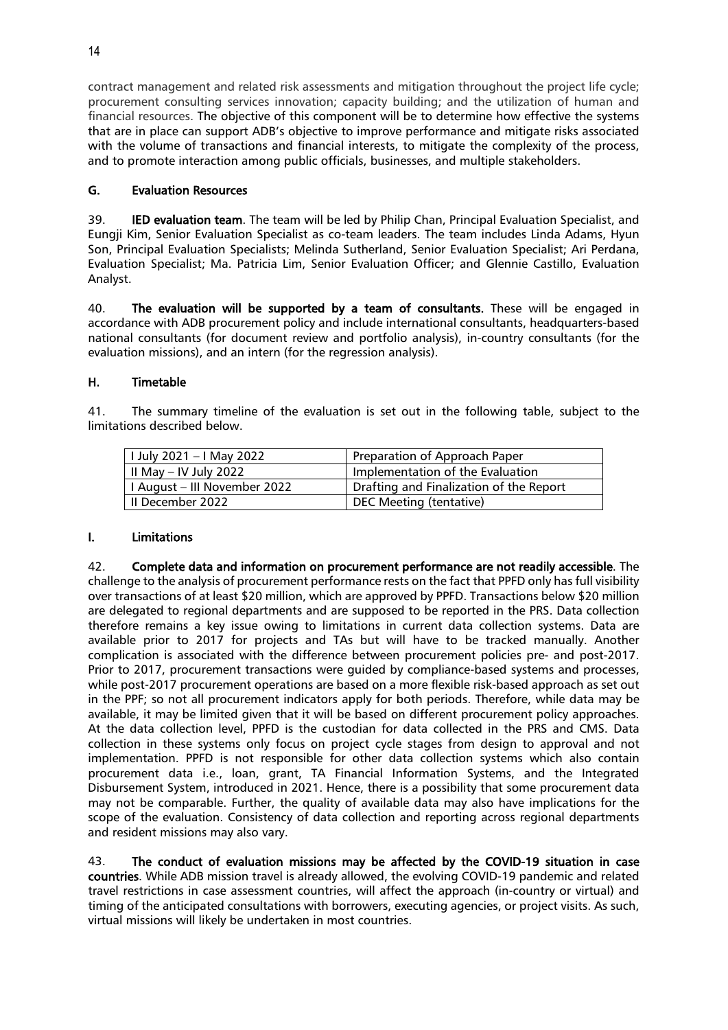contract management and related risk assessments and mitigation throughout the project life cycle; procurement consulting services innovation; capacity building; and the utilization of human and financial resources. The objective of this component will be to determine how effective the systems that are in place can support ADB's objective to improve performance and mitigate risks associated with the volume of transactions and financial interests, to mitigate the complexity of the process, and to promote interaction among public officials, businesses, and multiple stakeholders.

## G. Evaluation Resources

39. IED evaluation team. The team will be led by Philip Chan, Principal Evaluation Specialist, and Eungji Kim, Senior Evaluation Specialist as co-team leaders. The team includes Linda Adams, Hyun Son, Principal Evaluation Specialists; Melinda Sutherland, Senior Evaluation Specialist; Ari Perdana, Evaluation Specialist; Ma. Patricia Lim, Senior Evaluation Officer; and Glennie Castillo, Evaluation Analyst.

40. The evaluation will be supported by a team of consultants. These will be engaged in accordance with ADB procurement policy and include international consultants, headquarters-based national consultants (for document review and portfolio analysis), in-country consultants (for the evaluation missions), and an intern (for the regression analysis).

## H. Timetable

41. The summary timeline of the evaluation is set out in the following table, subject to the limitations described below.

| I July 2021 - I May 2022     | Preparation of Approach Paper           |
|------------------------------|-----------------------------------------|
| II May $-$ IV July 2022      | Implementation of the Evaluation        |
| I August - III November 2022 | Drafting and Finalization of the Report |
| Il December 2022             | DEC Meeting (tentative)                 |

## I. Limitations

42. Complete data and information on procurement performance are not readily accessible. The challenge to the analysis of procurement performance rests on the fact that PPFD only has full visibility over transactions of at least \$20 million, which are approved by PPFD. Transactions below \$20 million are delegated to regional departments and are supposed to be reported in the PRS. Data collection therefore remains a key issue owing to limitations in current data collection systems. Data are available prior to 2017 for projects and TAs but will have to be tracked manually. Another complication is associated with the difference between procurement policies pre- and post-2017. Prior to 2017, procurement transactions were guided by compliance-based systems and processes, while post-2017 procurement operations are based on a more flexible risk-based approach as set out in the PPF; so not all procurement indicators apply for both periods. Therefore, while data may be available, it may be limited given that it will be based on different procurement policy approaches. At the data collection level, PPFD is the custodian for data collected in the PRS and CMS. Data collection in these systems only focus on project cycle stages from design to approval and not implementation. PPFD is not responsible for other data collection systems which also contain procurement data i.e., loan, grant, TA Financial Information Systems, and the Integrated Disbursement System, introduced in 2021. Hence, there is a possibility that some procurement data may not be comparable. Further, the quality of available data may also have implications for the scope of the evaluation. Consistency of data collection and reporting across regional departments and resident missions may also vary.

43. The conduct of evaluation missions may be affected by the COVID-19 situation in case countries. While ADB mission travel is already allowed, the evolving COVID-19 pandemic and related travel restrictions in case assessment countries, will affect the approach (in-country or virtual) and timing of the anticipated consultations with borrowers, executing agencies, or project visits. As such, virtual missions will likely be undertaken in most countries.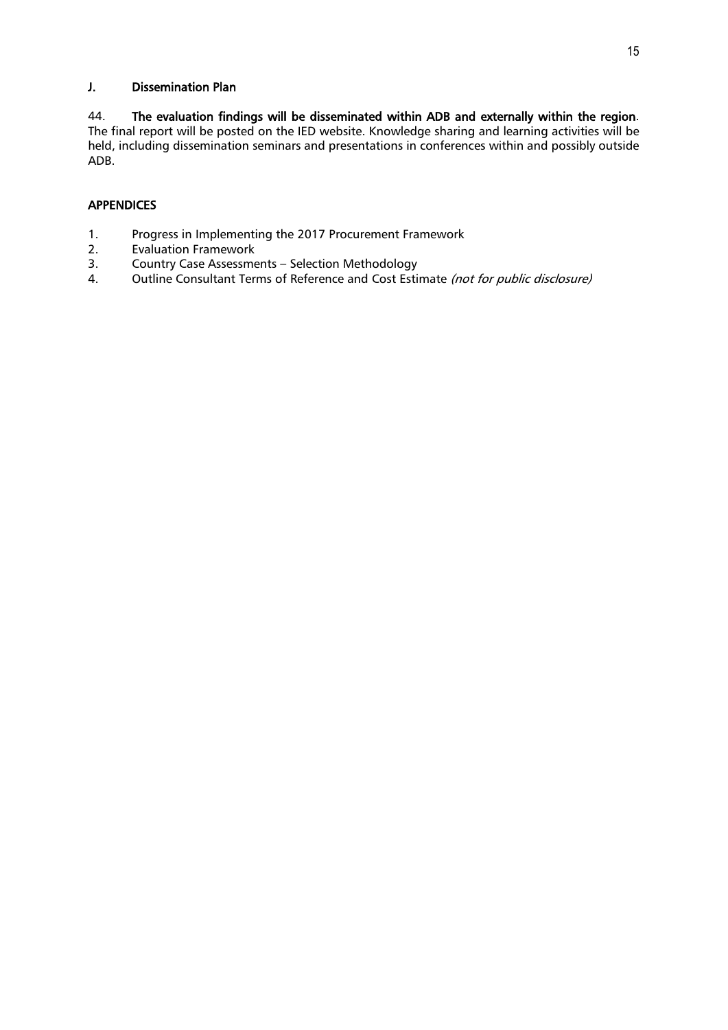## J. Dissemination Plan

44. The evaluation findings will be disseminated within ADB and externally within the region. The final report will be posted on the IED website. Knowledge sharing and learning activities will be held, including dissemination seminars and presentations in conferences within and possibly outside ADB.

## **APPENDICES**

- 1. Progress in Implementing the 2017 Procurement Framework
- 2. Evaluation Framework
- 3. Country Case Assessments Selection Methodology
- 4. Outline Consultant Terms of Reference and Cost Estimate (not for public disclosure)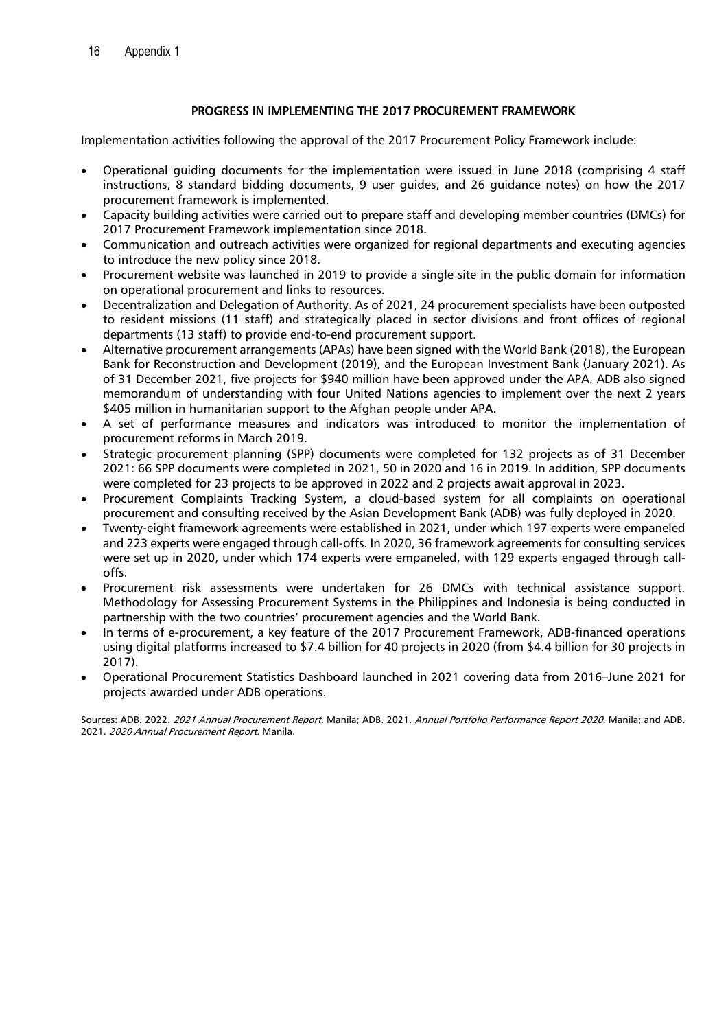## PROGRESS IN IMPLEMENTING THE 2017 PROCUREMENT FRAMEWORK

Implementation activities following the approval of the 2017 Procurement Policy Framework include:

- Operational guiding documents for the implementation were issued in June 2018 (comprising 4 staff instructions, 8 standard bidding documents, 9 user guides, and 26 guidance notes) on how the 2017 procurement framework is implemented.
- Capacity building activities were carried out to prepare staff and developing member countries (DMCs) for 2017 Procurement Framework implementation since 2018.
- Communication and outreach activities were organized for regional departments and executing agencies to introduce the new policy since 2018.
- Procurement website was launched in 2019 to provide a single site in the public domain for information on operational procurement and links to resources.
- Decentralization and Delegation of Authority. As of 2021, 24 procurement specialists have been outposted to resident missions (11 staff) and strategically placed in sector divisions and front offices of regional departments (13 staff) to provide end-to-end procurement support.
- Alternative procurement arrangements (APAs) have been signed with the World Bank (2018), the European Bank for Reconstruction and Development (2019), and the European Investment Bank (January 2021). As of 31 December 2021, five projects for \$940 million have been approved under the APA. ADB also signed memorandum of understanding with four United Nations agencies to implement over the next 2 years \$405 million in humanitarian support to the Afghan people under APA.
- A set of performance measures and indicators was introduced to monitor the implementation of procurement reforms in March 2019.
- Strategic procurement planning (SPP) documents were completed for 132 projects as of 31 December 2021: 66 SPP documents were completed in 2021, 50 in 2020 and 16 in 2019. In addition, SPP documents were completed for 23 projects to be approved in 2022 and 2 projects await approval in 2023.
- Procurement Complaints Tracking System, a cloud-based system for all complaints on operational procurement and consulting received by the Asian Development Bank (ADB) was fully deployed in 2020.
- Twenty-eight framework agreements were established in 2021, under which 197 experts were empaneled and 223 experts were engaged through call-offs. In 2020, 36 framework agreements for consulting services were set up in 2020, under which 174 experts were empaneled, with 129 experts engaged through calloffs.
- Procurement risk assessments were undertaken for 26 DMCs with technical assistance support. Methodology for Assessing Procurement Systems in the Philippines and Indonesia is being conducted in partnership with the two countries' procurement agencies and the World Bank.
- In terms of e-procurement, a key feature of the 2017 Procurement Framework, ADB-financed operations using digital platforms increased to \$7.4 billion for 40 projects in 2020 (from \$4.4 billion for 30 projects in 2017).
- Operational Procurement Statistics Dashboard launched in 2021 covering data from 2016–June 2021 for projects awarded under ADB operations.

Sources: ADB. 2022. 2021 Annual Procurement Report. Manila; ADB. 2021. Annual Portfolio Performance Report 2020. Manila; and ADB. 2021. 2020 Annual Procurement Report. Manila.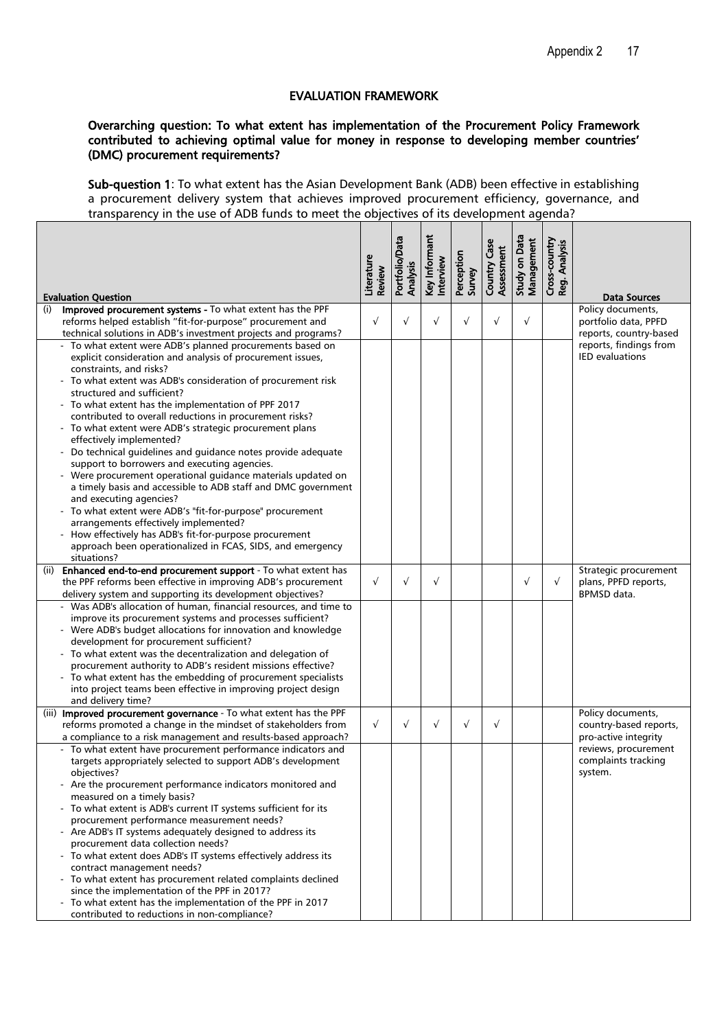#### EVALUATION FRAMEWORK

#### Overarching question: To what extent has implementation of the Procurement Policy Framework contributed to achieving optimal value for money in response to developing member countries' (DMC) procurement requirements?

Sub-question 1: To what extent has the Asian Development Bank (ADB) been effective in establishing a procurement delivery system that achieves improved procurement efficiency, governance, and transparency in the use of ADB funds to meet the objectives of its development agenda?

| <b>Evaluation Question</b>                                                                                                     | Literature<br>Review | Portfolio/Data<br>Analysis | Key Informant<br>Interview | Perception<br>Survey | Country Case<br>Assessment | Study on Data<br>Management | Cross-country<br>Reg. Analysis | <b>Data Sources</b>                            |
|--------------------------------------------------------------------------------------------------------------------------------|----------------------|----------------------------|----------------------------|----------------------|----------------------------|-----------------------------|--------------------------------|------------------------------------------------|
| Improved procurement systems - To what extent has the PPF                                                                      |                      |                            |                            |                      |                            |                             |                                | Policy documents,                              |
| reforms helped establish "fit-for-purpose" procurement and                                                                     | $\sqrt{ }$           | $\sqrt{}$                  | $\sqrt{ }$                 | $\sqrt{}$            | $\sqrt{ }$                 | $\sqrt{ }$                  |                                | portfolio data, PPFD                           |
| technical solutions in ADB's investment projects and programs?                                                                 |                      |                            |                            |                      |                            |                             |                                | reports, country-based                         |
| - To what extent were ADB's planned procurements based on                                                                      |                      |                            |                            |                      |                            |                             |                                | reports, findings from                         |
| explicit consideration and analysis of procurement issues,                                                                     |                      |                            |                            |                      |                            |                             |                                | <b>IED</b> evaluations                         |
| constraints, and risks?                                                                                                        |                      |                            |                            |                      |                            |                             |                                |                                                |
| - To what extent was ADB's consideration of procurement risk<br>structured and sufficient?                                     |                      |                            |                            |                      |                            |                             |                                |                                                |
| - To what extent has the implementation of PPF 2017                                                                            |                      |                            |                            |                      |                            |                             |                                |                                                |
| contributed to overall reductions in procurement risks?                                                                        |                      |                            |                            |                      |                            |                             |                                |                                                |
| - To what extent were ADB's strategic procurement plans                                                                        |                      |                            |                            |                      |                            |                             |                                |                                                |
| effectively implemented?                                                                                                       |                      |                            |                            |                      |                            |                             |                                |                                                |
| - Do technical guidelines and guidance notes provide adequate                                                                  |                      |                            |                            |                      |                            |                             |                                |                                                |
| support to borrowers and executing agencies.                                                                                   |                      |                            |                            |                      |                            |                             |                                |                                                |
| - Were procurement operational guidance materials updated on                                                                   |                      |                            |                            |                      |                            |                             |                                |                                                |
| a timely basis and accessible to ADB staff and DMC government                                                                  |                      |                            |                            |                      |                            |                             |                                |                                                |
| and executing agencies?<br>- To what extent were ADB's "fit-for-purpose" procurement                                           |                      |                            |                            |                      |                            |                             |                                |                                                |
| arrangements effectively implemented?                                                                                          |                      |                            |                            |                      |                            |                             |                                |                                                |
| - How effectively has ADB's fit-for-purpose procurement                                                                        |                      |                            |                            |                      |                            |                             |                                |                                                |
| approach been operationalized in FCAS, SIDS, and emergency                                                                     |                      |                            |                            |                      |                            |                             |                                |                                                |
| situations?                                                                                                                    |                      |                            |                            |                      |                            |                             |                                |                                                |
| (ii) Enhanced end-to-end procurement support - To what extent has                                                              |                      |                            |                            |                      |                            |                             |                                | Strategic procurement                          |
| the PPF reforms been effective in improving ADB's procurement                                                                  | $\sqrt{ }$           | $\sqrt{ }$                 | $\sqrt{ }$                 |                      |                            | $\sqrt{ }$                  | $\sqrt{ }$                     | plans, PPFD reports,                           |
| delivery system and supporting its development objectives?                                                                     |                      |                            |                            |                      |                            |                             |                                | BPMSD data.                                    |
| - Was ADB's allocation of human, financial resources, and time to                                                              |                      |                            |                            |                      |                            |                             |                                |                                                |
| improve its procurement systems and processes sufficient?<br>- Were ADB's budget allocations for innovation and knowledge      |                      |                            |                            |                      |                            |                             |                                |                                                |
| development for procurement sufficient?                                                                                        |                      |                            |                            |                      |                            |                             |                                |                                                |
| - To what extent was the decentralization and delegation of                                                                    |                      |                            |                            |                      |                            |                             |                                |                                                |
| procurement authority to ADB's resident missions effective?                                                                    |                      |                            |                            |                      |                            |                             |                                |                                                |
| - To what extent has the embedding of procurement specialists                                                                  |                      |                            |                            |                      |                            |                             |                                |                                                |
| into project teams been effective in improving project design                                                                  |                      |                            |                            |                      |                            |                             |                                |                                                |
| and delivery time?                                                                                                             |                      |                            |                            |                      |                            |                             |                                |                                                |
| (iii) Improved procurement governance - To what extent has the PPF                                                             | $\sqrt{ }$           |                            | $\sqrt{ }$                 |                      |                            |                             |                                | Policy documents,                              |
| reforms promoted a change in the mindset of stakeholders from<br>a compliance to a risk management and results-based approach? |                      | $\sqrt{ }$                 |                            | $\sqrt{ }$           | $\sqrt{ }$                 |                             |                                | country-based reports,<br>pro-active integrity |
| - To what extent have procurement performance indicators and                                                                   |                      |                            |                            |                      |                            |                             |                                | reviews, procurement                           |
| targets appropriately selected to support ADB's development                                                                    |                      |                            |                            |                      |                            |                             |                                | complaints tracking                            |
| objectives?                                                                                                                    |                      |                            |                            |                      |                            |                             |                                | system.                                        |
| - Are the procurement performance indicators monitored and                                                                     |                      |                            |                            |                      |                            |                             |                                |                                                |
| measured on a timely basis?                                                                                                    |                      |                            |                            |                      |                            |                             |                                |                                                |
| - To what extent is ADB's current IT systems sufficient for its                                                                |                      |                            |                            |                      |                            |                             |                                |                                                |
| procurement performance measurement needs?                                                                                     |                      |                            |                            |                      |                            |                             |                                |                                                |
| - Are ADB's IT systems adequately designed to address its                                                                      |                      |                            |                            |                      |                            |                             |                                |                                                |
| procurement data collection needs?<br>- To what extent does ADB's IT systems effectively address its                           |                      |                            |                            |                      |                            |                             |                                |                                                |
| contract management needs?                                                                                                     |                      |                            |                            |                      |                            |                             |                                |                                                |
| - To what extent has procurement related complaints declined                                                                   |                      |                            |                            |                      |                            |                             |                                |                                                |
| since the implementation of the PPF in 2017?                                                                                   |                      |                            |                            |                      |                            |                             |                                |                                                |
| - To what extent has the implementation of the PPF in 2017                                                                     |                      |                            |                            |                      |                            |                             |                                |                                                |
| contributed to reductions in non-compliance?                                                                                   |                      |                            |                            |                      |                            |                             |                                |                                                |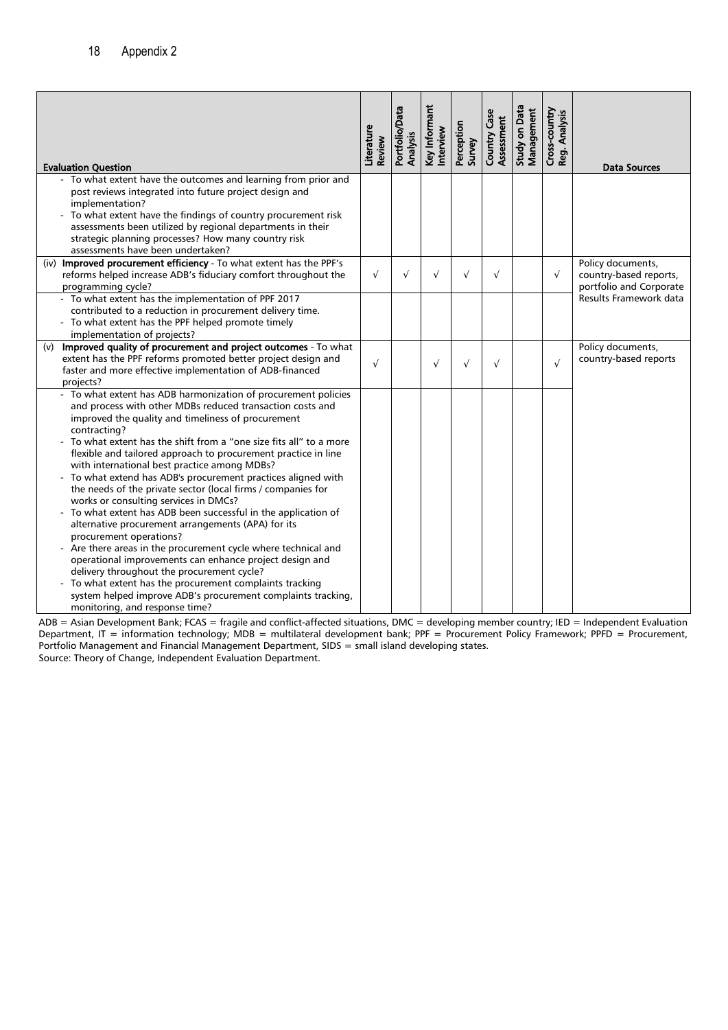| <b>Evaluation Question</b>                                                                                                                                                                                                                                                                                                                                                                                                                                                                                                                                                                                                                                                                                                                                                                                                                                                                                                                                                                                                                                     | Literature<br><b>Review</b> | Portfolio/Data<br>Analysis | Key Informant<br>Interview | Perception<br>Survey | Country Case<br>Assessment | Study on Data<br>Management | Cross-country<br>Reg. Analysis | <b>Data Sources</b>                                                                              |
|----------------------------------------------------------------------------------------------------------------------------------------------------------------------------------------------------------------------------------------------------------------------------------------------------------------------------------------------------------------------------------------------------------------------------------------------------------------------------------------------------------------------------------------------------------------------------------------------------------------------------------------------------------------------------------------------------------------------------------------------------------------------------------------------------------------------------------------------------------------------------------------------------------------------------------------------------------------------------------------------------------------------------------------------------------------|-----------------------------|----------------------------|----------------------------|----------------------|----------------------------|-----------------------------|--------------------------------|--------------------------------------------------------------------------------------------------|
| - To what extent have the outcomes and learning from prior and<br>post reviews integrated into future project design and<br>implementation?<br>- To what extent have the findings of country procurement risk<br>assessments been utilized by regional departments in their<br>strategic planning processes? How many country risk<br>assessments have been undertaken?                                                                                                                                                                                                                                                                                                                                                                                                                                                                                                                                                                                                                                                                                        |                             |                            |                            |                      |                            |                             |                                |                                                                                                  |
| (iv) Improved procurement efficiency - To what extent has the PPF's<br>reforms helped increase ADB's fiduciary comfort throughout the<br>programming cycle?<br>- To what extent has the implementation of PPF 2017<br>contributed to a reduction in procurement delivery time.<br>- To what extent has the PPF helped promote timely                                                                                                                                                                                                                                                                                                                                                                                                                                                                                                                                                                                                                                                                                                                           | $\sqrt{ }$                  | $\sqrt{ }$                 | $\sqrt{ }$                 | $\sqrt{}$            | $\sqrt{}$                  |                             | $\sqrt{ }$                     | Policy documents,<br>country-based reports,<br>portfolio and Corporate<br>Results Framework data |
| implementation of projects?<br>Improved quality of procurement and project outcomes - To what<br>(v)<br>extent has the PPF reforms promoted better project design and<br>faster and more effective implementation of ADB-financed<br>projects?                                                                                                                                                                                                                                                                                                                                                                                                                                                                                                                                                                                                                                                                                                                                                                                                                 | $\sqrt{ }$                  |                            | $\sqrt{ }$                 | $\sqrt{ }$           | $\sqrt{}$                  |                             | $\sqrt{ }$                     | Policy documents,<br>country-based reports                                                       |
| - To what extent has ADB harmonization of procurement policies<br>and process with other MDBs reduced transaction costs and<br>improved the quality and timeliness of procurement<br>contracting?<br>- To what extent has the shift from a "one size fits all" to a more<br>flexible and tailored approach to procurement practice in line<br>with international best practice among MDBs?<br>- To what extend has ADB's procurement practices aligned with<br>the needs of the private sector (local firms / companies for<br>works or consulting services in DMCs?<br>- To what extent has ADB been successful in the application of<br>alternative procurement arrangements (APA) for its<br>procurement operations?<br>- Are there areas in the procurement cycle where technical and<br>operational improvements can enhance project design and<br>delivery throughout the procurement cycle?<br>To what extent has the procurement complaints tracking<br>system helped improve ADB's procurement complaints tracking,<br>monitoring, and response time? |                             |                            |                            |                      |                            |                             |                                |                                                                                                  |

ADB = Asian Development Bank; FCAS = fragile and conflict-affected situations, DMC = developing member country; IED = Independent Evaluation Department, IT = information technology; MDB = multilateral development bank; PPF = Procurement Policy Framework; PPFD = Procurement, Portfolio Management and Financial Management Department, SIDS = small island developing states. Source: Theory of Change, Independent Evaluation Department.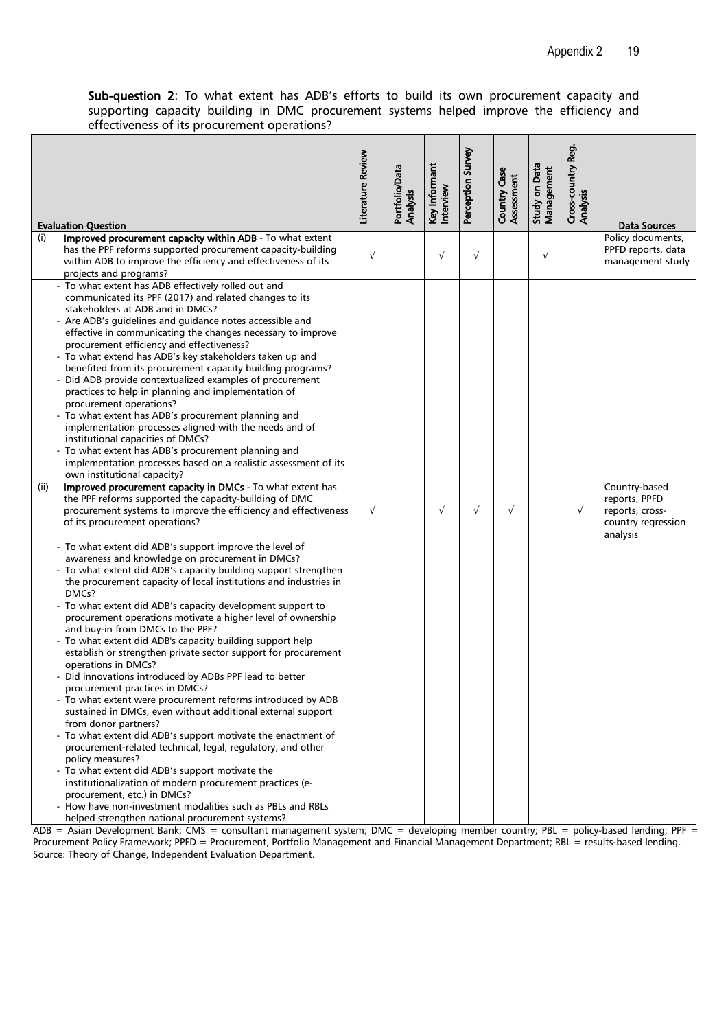Sub-question 2: To what extent has ADB's efforts to build its own procurement capacity and supporting capacity building in DMC procurement systems helped improve the efficiency and effectiveness of its procurement operations?

| <b>Evaluation Question</b>                                                                                                                                                                                                                                                                                                                                                                                                                                                                                                                                                                                                                                                                                                                                                                                                                                                                                                                                                                                                                                                                                                                                                                                                                             | Literature Review | Portfolio/Data<br>Analysis | Key Informant<br>Interview | Perception Survey | Country Case<br>Assessment | Study on Data<br>Management | Cross-country Reg.<br>Analysis | <b>Data Sources</b>                                                                 |
|--------------------------------------------------------------------------------------------------------------------------------------------------------------------------------------------------------------------------------------------------------------------------------------------------------------------------------------------------------------------------------------------------------------------------------------------------------------------------------------------------------------------------------------------------------------------------------------------------------------------------------------------------------------------------------------------------------------------------------------------------------------------------------------------------------------------------------------------------------------------------------------------------------------------------------------------------------------------------------------------------------------------------------------------------------------------------------------------------------------------------------------------------------------------------------------------------------------------------------------------------------|-------------------|----------------------------|----------------------------|-------------------|----------------------------|-----------------------------|--------------------------------|-------------------------------------------------------------------------------------|
| Improved procurement capacity within ADB - To what extent<br>(i)<br>has the PPF reforms supported procurement capacity-building<br>within ADB to improve the efficiency and effectiveness of its<br>projects and programs?                                                                                                                                                                                                                                                                                                                                                                                                                                                                                                                                                                                                                                                                                                                                                                                                                                                                                                                                                                                                                             | $\sqrt{ }$        |                            | $\sqrt{ }$                 | $\sqrt{}$         |                            | $\sqrt{ }$                  |                                | Policy documents,<br>PPFD reports, data<br>management study                         |
| - To what extent has ADB effectively rolled out and<br>communicated its PPF (2017) and related changes to its<br>stakeholders at ADB and in DMCs?<br>- Are ADB's guidelines and guidance notes accessible and<br>effective in communicating the changes necessary to improve<br>procurement efficiency and effectiveness?<br>- To what extend has ADB's key stakeholders taken up and<br>benefited from its procurement capacity building programs?<br>- Did ADB provide contextualized examples of procurement<br>practices to help in planning and implementation of<br>procurement operations?<br>- To what extent has ADB's procurement planning and<br>implementation processes aligned with the needs and of<br>institutional capacities of DMCs?<br>- To what extent has ADB's procurement planning and<br>implementation processes based on a realistic assessment of its<br>own institutional capacity?                                                                                                                                                                                                                                                                                                                                       |                   |                            |                            |                   |                            |                             |                                |                                                                                     |
| Improved procurement capacity in DMCs - To what extent has<br>(ii)<br>the PPF reforms supported the capacity-building of DMC<br>procurement systems to improve the efficiency and effectiveness<br>of its procurement operations?                                                                                                                                                                                                                                                                                                                                                                                                                                                                                                                                                                                                                                                                                                                                                                                                                                                                                                                                                                                                                      | $\sqrt{ }$        |                            | $\sqrt{ }$                 | $\sqrt{}$         | $\sqrt{ }$                 |                             | $\sqrt{ }$                     | Country-based<br>reports, PPFD<br>reports, cross-<br>country regression<br>analysis |
| - To what extent did ADB's support improve the level of<br>awareness and knowledge on procurement in DMCs?<br>- To what extent did ADB's capacity building support strengthen<br>the procurement capacity of local institutions and industries in<br>DMCs?<br>- To what extent did ADB's capacity development support to<br>procurement operations motivate a higher level of ownership<br>and buy-in from DMCs to the PPF?<br>- To what extent did ADB's capacity building support help<br>establish or strengthen private sector support for procurement<br>operations in DMCs?<br>- Did innovations introduced by ADBs PPF lead to better<br>procurement practices in DMCs?<br>- To what extent were procurement reforms introduced by ADB<br>sustained in DMCs, even without additional external support<br>from donor partners?<br>- To what extent did ADB's support motivate the enactment of<br>procurement-related technical, legal, regulatory, and other<br>policy measures?<br>- To what extent did ADB's support motivate the<br>institutionalization of modern procurement practices (e-<br>procurement, etc.) in DMCs?<br>- How have non-investment modalities such as PBLs and RBLs<br>helped strengthen national procurement systems? |                   |                            |                            |                   |                            |                             |                                |                                                                                     |

 $\overline{ADB}$  = Asian Development Bank; CMS = consultant management system; DMC = developing member country; PBL = policy-based lending; PPF = Procurement Policy Framework; PPFD = Procurement, Portfolio Management and Financial Management Department; RBL = results-based lending. Source: Theory of Change, Independent Evaluation Department.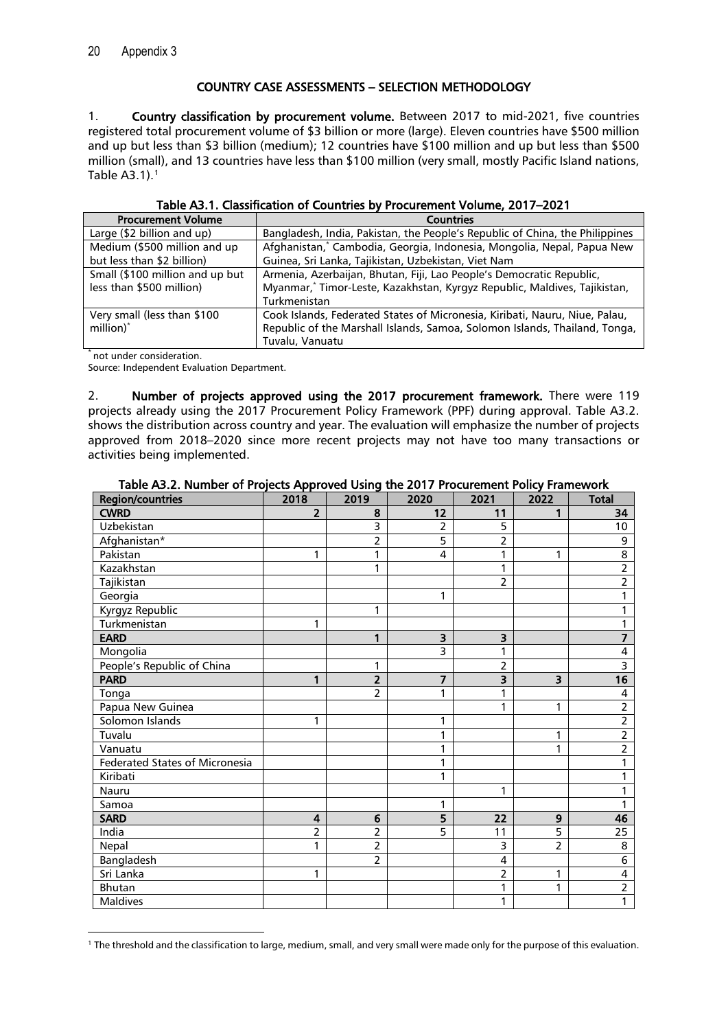## COUNTRY CASE ASSESSMENTS – SELECTION METHODOLOGY

1. Country classification by procurement volume. Between 2017 to mid-2021, five countries registered total procurement volume of \$3 billion or more (large). Eleven countries have \$500 million and up but less than \$3 billion (medium); 12 countries have \$100 million and up but less than \$500 million (small), and 13 countries have less than \$100 million (very small, mostly Pacific Island nations, Table  $A3.1$  $A3.1$ ).<sup>1</sup>

| <b>Procurement Volume</b>       | Countries                                                                          |
|---------------------------------|------------------------------------------------------------------------------------|
| Large $($2$ billion and up)     | Bangladesh, India, Pakistan, the People's Republic of China, the Philippines       |
| Medium (\$500 million and up    | Afghanistan, <sup>*</sup> Cambodia, Georgia, Indonesia, Mongolia, Nepal, Papua New |
| but less than \$2 billion)      | Guinea, Sri Lanka, Tajikistan, Uzbekistan, Viet Nam                                |
| Small (\$100 million and up but | Armenia, Azerbaijan, Bhutan, Fiji, Lao People's Democratic Republic,               |
| less than \$500 million)        | Myanmar,* Timor-Leste, Kazakhstan, Kyrgyz Republic, Maldives, Tajikistan,          |
|                                 | Turkmenistan                                                                       |
| Very small (less than \$100     | Cook Islands, Federated States of Micronesia, Kiribati, Nauru, Niue, Palau,        |
| million)*                       | Republic of the Marshall Islands, Samoa, Solomon Islands, Thailand, Tonga,         |
|                                 | Tuvalu, Vanuatu                                                                    |

| Table A3.1. Classification of Countries by Procurement Volume, 2017-2021 |  |
|--------------------------------------------------------------------------|--|
|--------------------------------------------------------------------------|--|

 $\overline{\text{`}}$  not under consideration.

Source: Independent Evaluation Department.

2. Number of projects approved using the 2017 procurement framework. There were 119 projects already using the 2017 Procurement Policy Framework (PPF) during approval. Table A3.2. shows the distribution across country and year. The evaluation will emphasize the number of projects approved from 2018–2020 since more recent projects may not have too many transactions or activities being implemented.

| Table A3.2. Number of Projects Approved Using the 2017 Procurement Policy Framework |  |  |  |
|-------------------------------------------------------------------------------------|--|--|--|
|-------------------------------------------------------------------------------------|--|--|--|

| <b>Region/countries</b>               | 2018           | 2019           | 2020 | 2021           | 2022 | <b>Total</b>            |
|---------------------------------------|----------------|----------------|------|----------------|------|-------------------------|
| <b>CWRD</b>                           | $\overline{2}$ | 8              | 12   | 11             | 1    | 34                      |
| Uzbekistan                            |                | 3              | 2    | 5              |      | 10                      |
| Afghanistan*                          |                | $\overline{2}$ | 5    | $\overline{2}$ |      | 9                       |
| Pakistan                              | 1              | 1              | 4    | 1              | 1    | 8                       |
| Kazakhstan                            |                | 1              |      | 1              |      | $\overline{2}$          |
| Tajikistan                            |                |                |      | $\overline{2}$ |      | 2                       |
| Georgia                               |                |                | 1    |                |      | 1                       |
| Kyrgyz Republic                       |                | 1              |      |                |      | 1                       |
| Turkmenistan                          | 1              |                |      |                |      | 1                       |
| <b>EARD</b>                           |                | 1              | 3    | 3              |      | 7                       |
| Mongolia                              |                |                | 3    | 1              |      | 4                       |
| People's Republic of China            |                | 1              |      | 2              |      | $\overline{\mathbf{3}}$ |
| <b>PARD</b>                           | 1              | $\overline{2}$ | 7    | 3              | 3    | 16                      |
| Tonga                                 |                | 2              | 1    | 1              |      | $\overline{4}$          |
| Papua New Guinea                      |                |                |      | 1              | 1    | 2                       |
| Solomon Islands                       | 1              |                | 1    |                |      | $\overline{2}$          |
| Tuvalu                                |                |                | 1    |                | 1    | 2                       |
| Vanuatu                               |                |                | 1    |                | 1    | 2                       |
| <b>Federated States of Micronesia</b> |                |                | 1    |                |      | 1                       |
| Kiribati                              |                |                | 1    |                |      | 1                       |
| Nauru                                 |                |                |      | 1              |      |                         |
| Samoa                                 |                |                | 1    |                |      | 1                       |
| <b>SARD</b>                           | 4              | 6              | 5    | 22             | 9    | 46                      |
| India                                 | 2              | 2              | 5    | 11             | 5    | 25                      |
| Nepal                                 | 1              | 2              |      | 3              | 2    | 8                       |
| Bangladesh                            |                | 2              |      | 4              |      | 6                       |
| Sri Lanka                             | 1              |                |      | 2              | 1    | 4                       |
| <b>Bhutan</b>                         |                |                |      | 1              | 1    | $\overline{2}$          |
| <b>Maldives</b>                       |                |                |      | 1              |      | 1                       |

<span id="page-19-0"></span><sup>1</sup> The threshold and the classification to large, medium, small, and very small were made only for the purpose of this evaluation.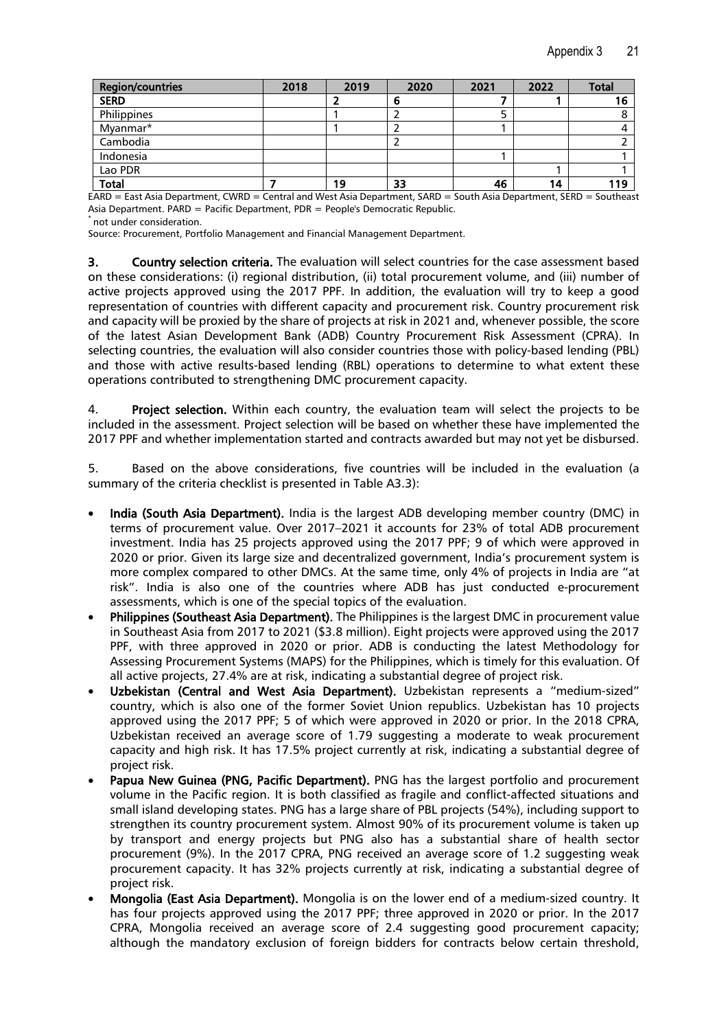| <b>Region/countries</b> | 2018 | 2019 | 2020 | 2021 | 2022 | <b>Total</b> |
|-------------------------|------|------|------|------|------|--------------|
| <b>SERD</b>             |      |      | o    |      |      | 16           |
| Philippines             |      |      |      |      |      |              |
| Myanmar*                |      |      |      |      |      |              |
| Cambodia                |      |      |      |      |      |              |
| Indonesia               |      |      |      |      |      |              |
| Lao PDR                 |      |      |      |      |      |              |
| <b>Total</b>            |      | 19   | 33   | 46   | 14   | 119          |

EARD = East Asia Department, CWRD = Central and West Asia Department, SARD = South Asia Department, SERD = Southeast Asia Department. PARD = Pacific Department, PDR = People's Democratic Republic.<br>\* not under consideration.

Source: Procurement, Portfolio Management and Financial Management Department.

3. Country selection criteria. The evaluation will select countries for the case assessment based on these considerations: (i) regional distribution, (ii) total procurement volume, and (iii) number of active projects approved using the 2017 PPF. In addition, the evaluation will try to keep a good representation of countries with different capacity and procurement risk. Country procurement risk and capacity will be proxied by the share of projects at risk in 2021 and, whenever possible, the score of the latest Asian Development Bank (ADB) Country Procurement Risk Assessment (CPRA). In selecting countries, the evaluation will also consider countries those with policy-based lending (PBL) and those with active results-based lending (RBL) operations to determine to what extent these operations contributed to strengthening DMC procurement capacity.

4. Project selection. Within each country, the evaluation team will select the projects to be included in the assessment. Project selection will be based on whether these have implemented the 2017 PPF and whether implementation started and contracts awarded but may not yet be disbursed.

5. Based on the above considerations, five countries will be included in the evaluation (a summary of the criteria checklist is presented in Table A3.3):

- India (South Asia Department). India is the largest ADB developing member country (DMC) in terms of procurement value. Over 2017–2021 it accounts for 23% of total ADB procurement investment. India has 25 projects approved using the 2017 PPF; 9 of which were approved in 2020 or prior. Given its large size and decentralized government, India's procurement system is more complex compared to other DMCs. At the same time, only 4% of projects in India are "at risk". India is also one of the countries where ADB has just conducted e-procurement assessments, which is one of the special topics of the evaluation.
- Philippines (Southeast Asia Department). The Philippines is the largest DMC in procurement value in Southeast Asia from 2017 to 2021 (\$3.8 million). Eight projects were approved using the 2017 PPF, with three approved in 2020 or prior. ADB is conducting the latest Methodology for Assessing Procurement Systems (MAPS) for the Philippines, which is timely for this evaluation. Of all active projects, 27.4% are at risk, indicating a substantial degree of project risk.
- Uzbekistan (Central and West Asia Department). Uzbekistan represents a "medium-sized" country, which is also one of the former Soviet Union republics. Uzbekistan has 10 projects approved using the 2017 PPF; 5 of which were approved in 2020 or prior. In the 2018 CPRA, Uzbekistan received an average score of 1.79 suggesting a moderate to weak procurement capacity and high risk. It has 17.5% project currently at risk, indicating a substantial degree of project risk.
- Papua New Guinea (PNG, Pacific Department). PNG has the largest portfolio and procurement volume in the Pacific region. It is both classified as fragile and conflict-affected situations and small island developing states. PNG has a large share of PBL projects (54%), including support to strengthen its country procurement system. Almost 90% of its procurement volume is taken up by transport and energy projects but PNG also has a substantial share of health sector procurement (9%). In the 2017 CPRA, PNG received an average score of 1.2 suggesting weak procurement capacity. It has 32% projects currently at risk, indicating a substantial degree of project risk.
- Mongolia (East Asia Department). Mongolia is on the lower end of a medium-sized country. It has four projects approved using the 2017 PPF; three approved in 2020 or prior. In the 2017 CPRA, Mongolia received an average score of 2.4 suggesting good procurement capacity; although the mandatory exclusion of foreign bidders for contracts below certain threshold,